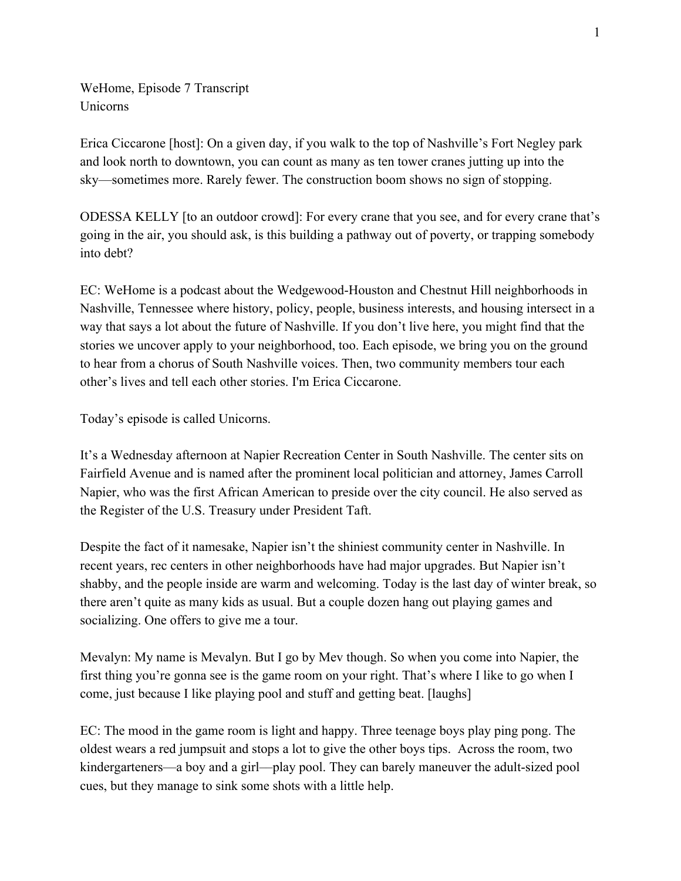WeHome, Episode 7 Transcript Unicorns

Erica Ciccarone [host]: On a given day, if you walk to the top of Nashville's Fort Negley park and look north to downtown, you can count as many as ten tower cranes jutting up into the sky––sometimes more. Rarely fewer. The construction boom shows no sign of stopping.

ODESSA KELLY [to an outdoor crowd]: For every crane that you see, and for every crane that's going in the air, you should ask, is this building a pathway out of poverty, or trapping somebody into debt?

EC: WeHome is a podcast about the Wedgewood-Houston and Chestnut Hill neighborhoods in Nashville, Tennessee where history, policy, people, business interests, and housing intersect in a way that says a lot about the future of Nashville. If you don't live here, you might find that the stories we uncover apply to your neighborhood, too. Each episode, we bring you on the ground to hear from a chorus of South Nashville voices. Then, two community members tour each other's lives and tell each other stories. I'm Erica Ciccarone.

Today's episode is called Unicorns.

It's a Wednesday afternoon at Napier Recreation Center in South Nashville. The center sits on Fairfield Avenue and is named after the prominent local politician and attorney, James Carroll Napier, who was the first African American to preside over the city council. He also served as the Register of the U.S. Treasury under President Taft.

Despite the fact of it namesake, Napier isn't the shiniest community center in Nashville. In recent years, rec centers in other neighborhoods have had major upgrades. But Napier isn't shabby, and the people inside are warm and welcoming. Today is the last day of winter break, so there aren't quite as many kids as usual. But a couple dozen hang out playing games and socializing. One offers to give me a tour.

Mevalyn: My name is Mevalyn. But I go by Mev though. So when you come into Napier, the first thing you're gonna see is the game room on your right. That's where I like to go when I come, just because I like playing pool and stuff and getting beat. [laughs]

EC: The mood in the game room is light and happy. Three teenage boys play ping pong. The oldest wears a red jumpsuit and stops a lot to give the other boys tips. Across the room, two kindergarteners—a boy and a girl—play pool. They can barely maneuver the adult-sized pool cues, but they manage to sink some shots with a little help.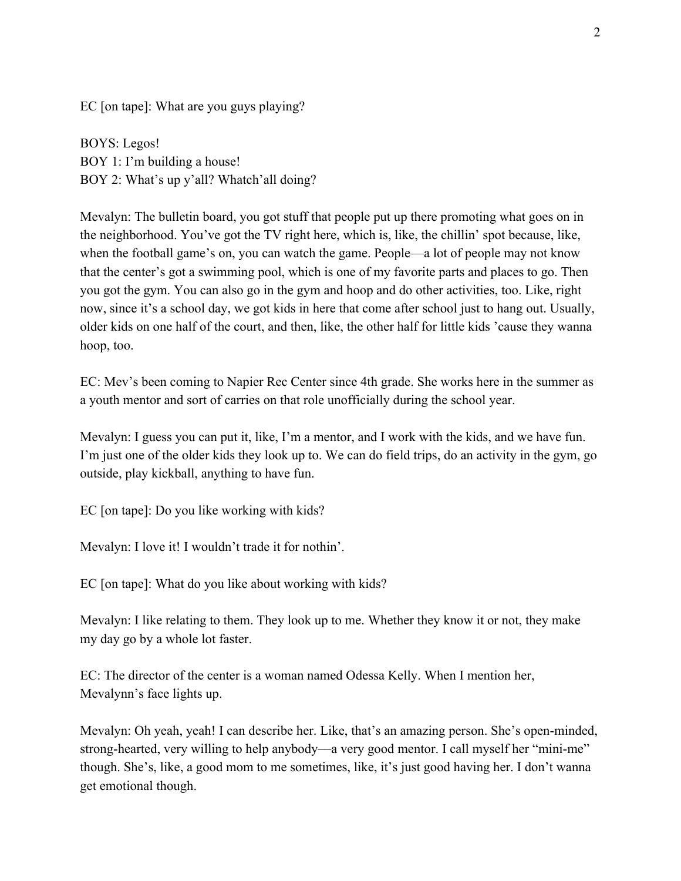EC [on tape]: What are you guys playing?

BOYS: Legos! BOY 1: I'm building a house! BOY 2: What's up y'all? Whatch'all doing?

Mevalyn: The bulletin board, you got stuff that people put up there promoting what goes on in the neighborhood. You've got the TV right here, which is, like, the chillin' spot because, like, when the football game's on, you can watch the game. People—a lot of people may not know that the center's got a swimming pool, which is one of my favorite parts and places to go. Then you got the gym. You can also go in the gym and hoop and do other activities, too. Like, right now, since it's a school day, we got kids in here that come after school just to hang out. Usually, older kids on one half of the court, and then, like, the other half for little kids 'cause they wanna hoop, too.

EC: Mev's been coming to Napier Rec Center since 4th grade. She works here in the summer as a youth mentor and sort of carries on that role unofficially during the school year.

Mevalyn: I guess you can put it, like, I'm a mentor, and I work with the kids, and we have fun. I'm just one of the older kids they look up to. We can do field trips, do an activity in the gym, go outside, play kickball, anything to have fun.

EC [on tape]: Do you like working with kids?

Mevalyn: I love it! I wouldn't trade it for nothin'.

EC [on tape]: What do you like about working with kids?

Mevalyn: I like relating to them. They look up to me. Whether they know it or not, they make my day go by a whole lot faster.

EC: The director of the center is a woman named Odessa Kelly. When I mention her, Mevalynn's face lights up.

Mevalyn: Oh yeah, yeah! I can describe her. Like, that's an amazing person. She's open-minded, strong-hearted, very willing to help anybody––a very good mentor. I call myself her "mini-me" though. She's, like, a good mom to me sometimes, like, it's just good having her. I don't wanna get emotional though.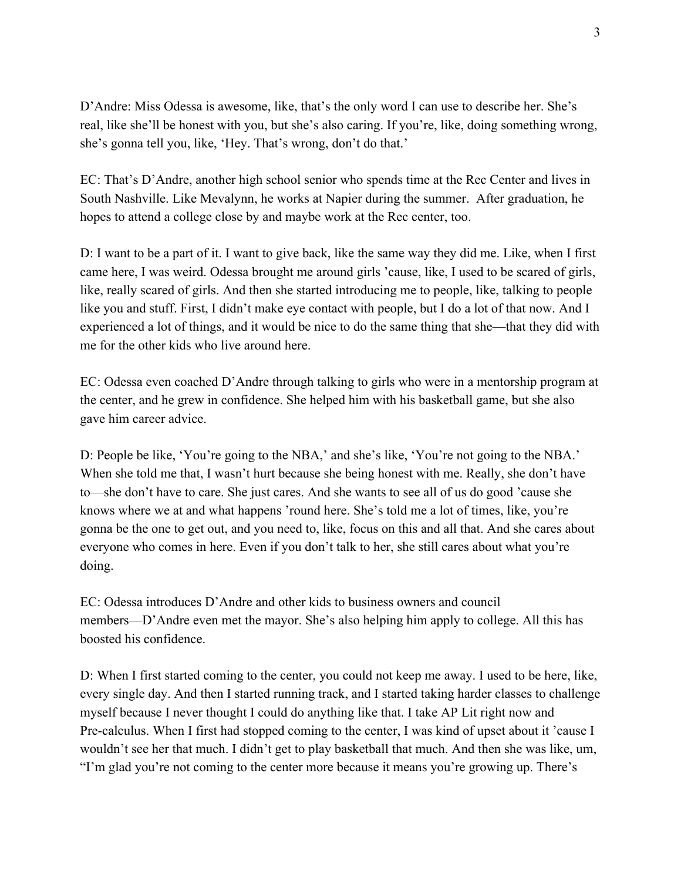D'Andre: Miss Odessa is awesome, like, that's the only word I can use to describe her. She's real, like she'll be honest with you, but she's also caring. If you're, like, doing something wrong, she's gonna tell you, like, 'Hey. That's wrong, don't do that.'

EC: That's D'Andre, another high school senior who spends time at the Rec Center and lives in South Nashville. Like Mevalynn, he works at Napier during the summer. After graduation, he hopes to attend a college close by and maybe work at the Rec center, too.

D: I want to be a part of it. I want to give back, like the same way they did me. Like, when I first came here, I was weird. Odessa brought me around girls 'cause, like, I used to be scared of girls, like, really scared of girls. And then she started introducing me to people, like, talking to people like you and stuff. First, I didn't make eye contact with people, but I do a lot of that now. And I experienced a lot of things, and it would be nice to do the same thing that she––that they did with me for the other kids who live around here.

EC: Odessa even coached D'Andre through talking to girls who were in a mentorship program at the center, and he grew in confidence. She helped him with his basketball game, but she also gave him career advice.

D: People be like, 'You're going to the NBA,' and she's like, 'You're not going to the NBA.' When she told me that, I wasn't hurt because she being honest with me. Really, she don't have to––she don't have to care. She just cares. And she wants to see all of us do good 'cause she knows where we at and what happens 'round here. She's told me a lot of times, like, you're gonna be the one to get out, and you need to, like, focus on this and all that. And she cares about everyone who comes in here. Even if you don't talk to her, she still cares about what you're doing.

EC: Odessa introduces D'Andre and other kids to business owners and council members––D'Andre even met the mayor. She's also helping him apply to college. All this has boosted his confidence.

D: When I first started coming to the center, you could not keep me away. I used to be here, like, every single day. And then I started running track, and I started taking harder classes to challenge myself because I never thought I could do anything like that. I take AP Lit right now and Pre-calculus. When I first had stopped coming to the center, I was kind of upset about it 'cause I wouldn't see her that much. I didn't get to play basketball that much. And then she was like, um, "I'm glad you're not coming to the center more because it means you're growing up. There's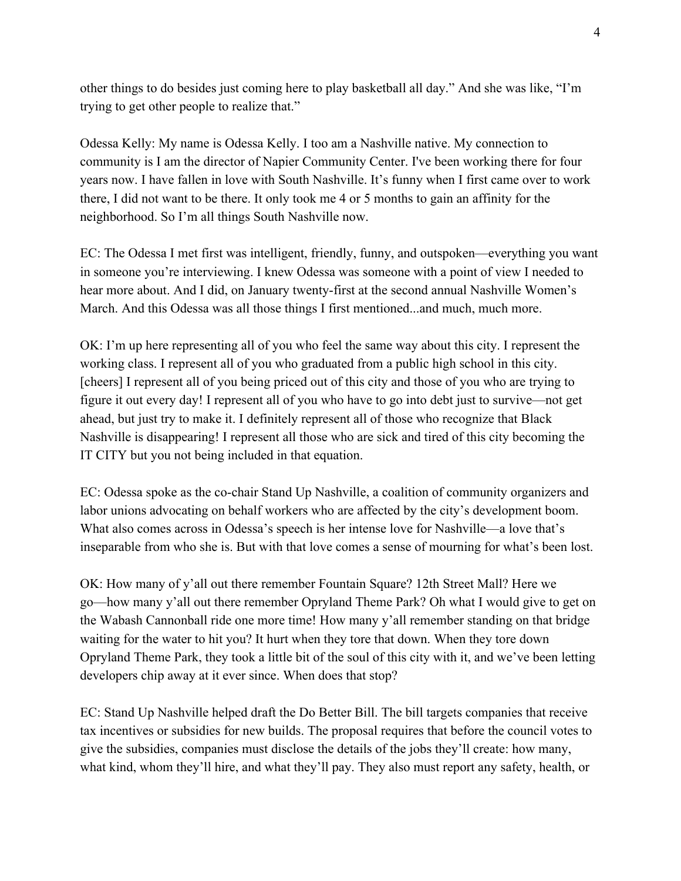other things to do besides just coming here to play basketball all day." And she was like, "I'm trying to get other people to realize that."

Odessa Kelly: My name is Odessa Kelly. I too am a Nashville native. My connection to community is I am the director of Napier Community Center. I've been working there for four years now. I have fallen in love with South Nashville. It's funny when I first came over to work there, I did not want to be there. It only took me 4 or 5 months to gain an affinity for the neighborhood. So I'm all things South Nashville now.

EC: The Odessa I met first was intelligent, friendly, funny, and outspoken––everything you want in someone you're interviewing. I knew Odessa was someone with a point of view I needed to hear more about. And I did, on January twenty-first at the second annual Nashville Women's March. And this Odessa was all those things I first mentioned...and much, much more.

OK: I'm up here representing all of you who feel the same way about this city. I represent the working class. I represent all of you who graduated from a public high school in this city. [cheers] I represent all of you being priced out of this city and those of you who are trying to figure it out every day! I represent all of you who have to go into debt just to survive––not get ahead, but just try to make it. I definitely represent all of those who recognize that Black Nashville is disappearing! I represent all those who are sick and tired of this city becoming the IT CITY but you not being included in that equation.

EC: Odessa spoke as the co-chair Stand Up Nashville, a coalition of community organizers and labor unions advocating on behalf workers who are affected by the city's development boom. What also comes across in Odessa's speech is her intense love for Nashville—a love that's inseparable from who she is. But with that love comes a sense of mourning for what's been lost.

OK: How many of y'all out there remember Fountain Square? 12th Street Mall? Here we go––how many y'all out there remember Opryland Theme Park? Oh what I would give to get on the Wabash Cannonball ride one more time! How many y'all remember standing on that bridge waiting for the water to hit you? It hurt when they tore that down. When they tore down Opryland Theme Park, they took a little bit of the soul of this city with it, and we've been letting developers chip away at it ever since. When does that stop?

EC: Stand Up Nashville helped draft the Do Better Bill. The bill targets companies that receive tax incentives or subsidies for new builds. The proposal requires that before the council votes to give the subsidies, companies must disclose the details of the jobs they'll create: how many, what kind, whom they'll hire, and what they'll pay. They also must report any safety, health, or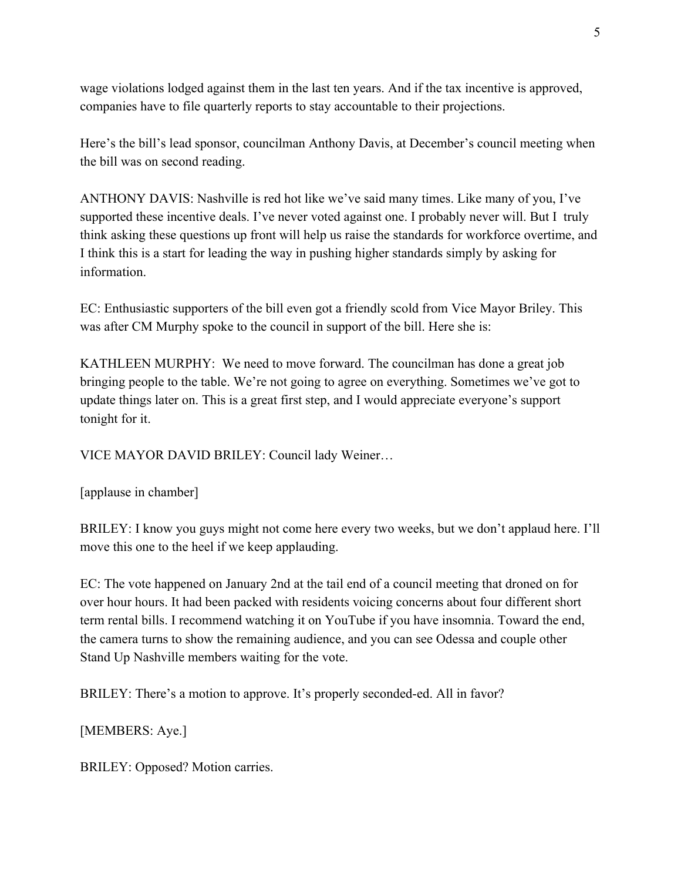wage violations lodged against them in the last ten years. And if the tax incentive is approved, companies have to file quarterly reports to stay accountable to their projections.

Here's the bill's lead sponsor, councilman Anthony Davis, at December's council meeting when the bill was on second reading.

ANTHONY DAVIS: Nashville is red hot like we've said many times. Like many of you, I've supported these incentive deals. I've never voted against one. I probably never will. But I truly think asking these questions up front will help us raise the standards for workforce overtime, and I think this is a start for leading the way in pushing higher standards simply by asking for information.

EC: Enthusiastic supporters of the bill even got a friendly scold from Vice Mayor Briley. This was after CM Murphy spoke to the council in support of the bill. Here she is:

KATHLEEN MURPHY: We need to move forward. The councilman has done a great job bringing people to the table. We're not going to agree on everything. Sometimes we've got to update things later on. This is a great first step, and I would appreciate everyone's support tonight for it.

VICE MAYOR DAVID BRILEY: Council lady Weiner…

[applause in chamber]

BRILEY: I know you guys might not come here every two weeks, but we don't applaud here. I'll move this one to the heel if we keep applauding.

EC: The vote happened on January 2nd at the tail end of a council meeting that droned on for over hour hours. It had been packed with residents voicing concerns about four different short term rental bills. I recommend watching it on YouTube if you have insomnia. Toward the end, the camera turns to show the remaining audience, and you can see Odessa and couple other Stand Up Nashville members waiting for the vote.

BRILEY: There's a motion to approve. It's properly seconded-ed. All in favor?

[MEMBERS: Aye.]

BRILEY: Opposed? Motion carries.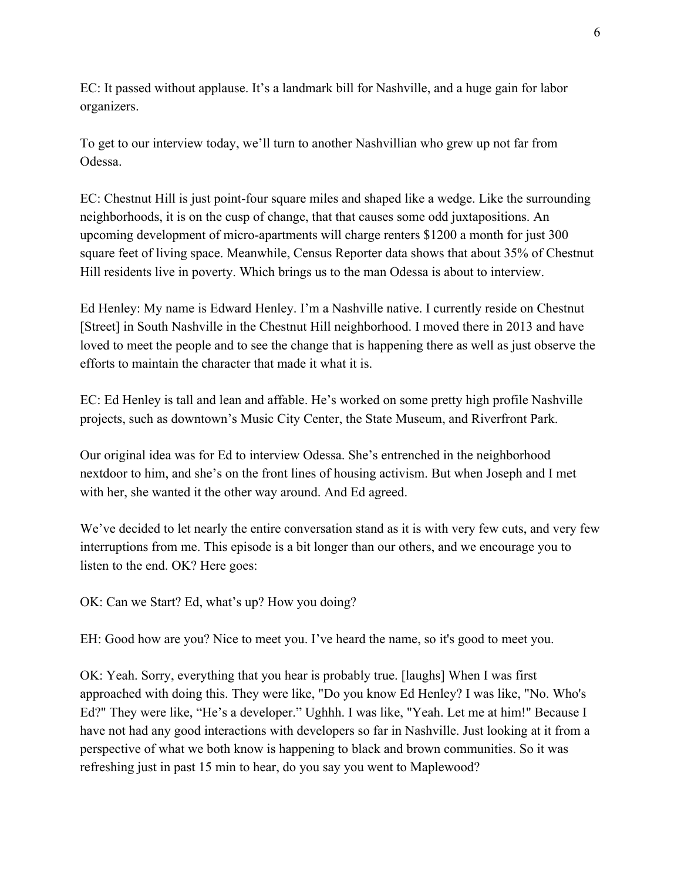EC: It passed without applause. It's a landmark bill for Nashville, and a huge gain for labor organizers.

To get to our interview today, we'll turn to another Nashvillian who grew up not far from Odessa.

EC: Chestnut Hill is just point-four square miles and shaped like a wedge. Like the surrounding neighborhoods, it is on the cusp of change, that that causes some odd juxtapositions. An upcoming development of micro-apartments will charge renters \$1200 a month for just 300 square feet of living space. Meanwhile, Census Reporter data shows that about 35% of Chestnut Hill residents live in poverty. Which brings us to the man Odessa is about to interview.

Ed Henley: My name is Edward Henley. I'm a Nashville native. I currently reside on Chestnut [Street] in South Nashville in the Chestnut Hill neighborhood. I moved there in 2013 and have loved to meet the people and to see the change that is happening there as well as just observe the efforts to maintain the character that made it what it is.

EC: Ed Henley is tall and lean and affable. He's worked on some pretty high profile Nashville projects, such as downtown's Music City Center, the State Museum, and Riverfront Park.

Our original idea was for Ed to interview Odessa. She's entrenched in the neighborhood nextdoor to him, and she's on the front lines of housing activism. But when Joseph and I met with her, she wanted it the other way around. And Ed agreed.

We've decided to let nearly the entire conversation stand as it is with very few cuts, and very few interruptions from me. This episode is a bit longer than our others, and we encourage you to listen to the end. OK? Here goes:

OK: Can we Start? Ed, what's up? How you doing?

EH: Good how are you? Nice to meet you. I've heard the name, so it's good to meet you.

OK: Yeah. Sorry, everything that you hear is probably true. [laughs] When I was first approached with doing this. They were like, "Do you know Ed Henley? I was like, "No. Who's Ed?" They were like, "He's a developer." Ughhh. I was like, "Yeah. Let me at him!" Because I have not had any good interactions with developers so far in Nashville. Just looking at it from a perspective of what we both know is happening to black and brown communities. So it was refreshing just in past 15 min to hear, do you say you went to Maplewood?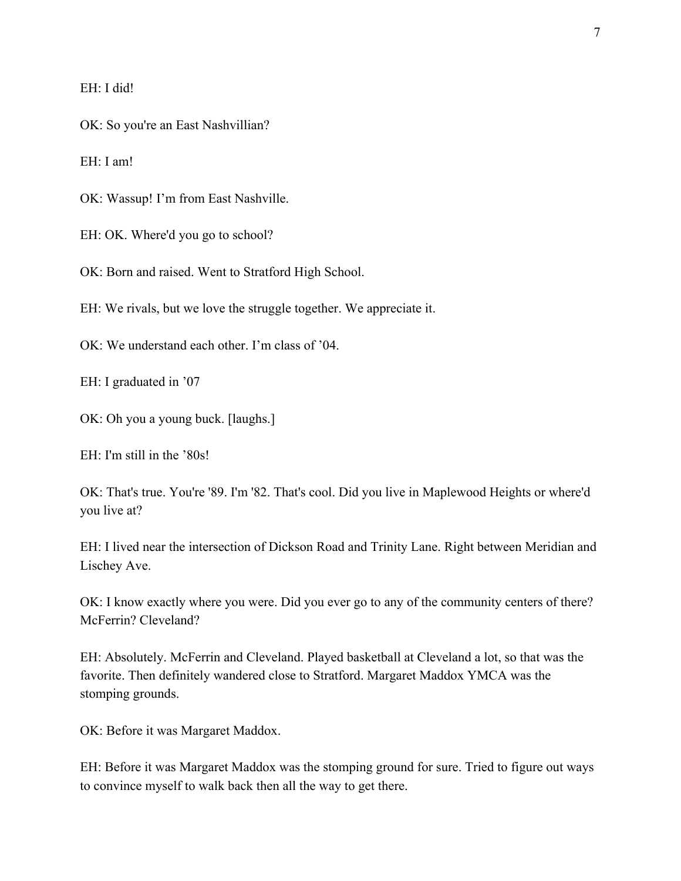EH: I did!

OK: So you're an East Nashvillian?

 $EH \cdot I$  am!

OK: Wassup! I'm from East Nashville.

EH: OK. Where'd you go to school?

OK: Born and raised. Went to Stratford High School.

EH: We rivals, but we love the struggle together. We appreciate it.

OK: We understand each other. I'm class of '04.

EH: I graduated in '07

OK: Oh you a young buck. [laughs.]

EH: I'm still in the '80s!

OK: That's true. You're '89. I'm '82. That's cool. Did you live in Maplewood Heights or where'd you live at?

EH: I lived near the intersection of Dickson Road and Trinity Lane. Right between Meridian and Lischey Ave.

OK: I know exactly where you were. Did you ever go to any of the community centers of there? McFerrin? Cleveland?

EH: Absolutely. McFerrin and Cleveland. Played basketball at Cleveland a lot, so that was the favorite. Then definitely wandered close to Stratford. Margaret Maddox YMCA was the stomping grounds.

OK: Before it was Margaret Maddox.

EH: Before it was Margaret Maddox was the stomping ground for sure. Tried to figure out ways to convince myself to walk back then all the way to get there.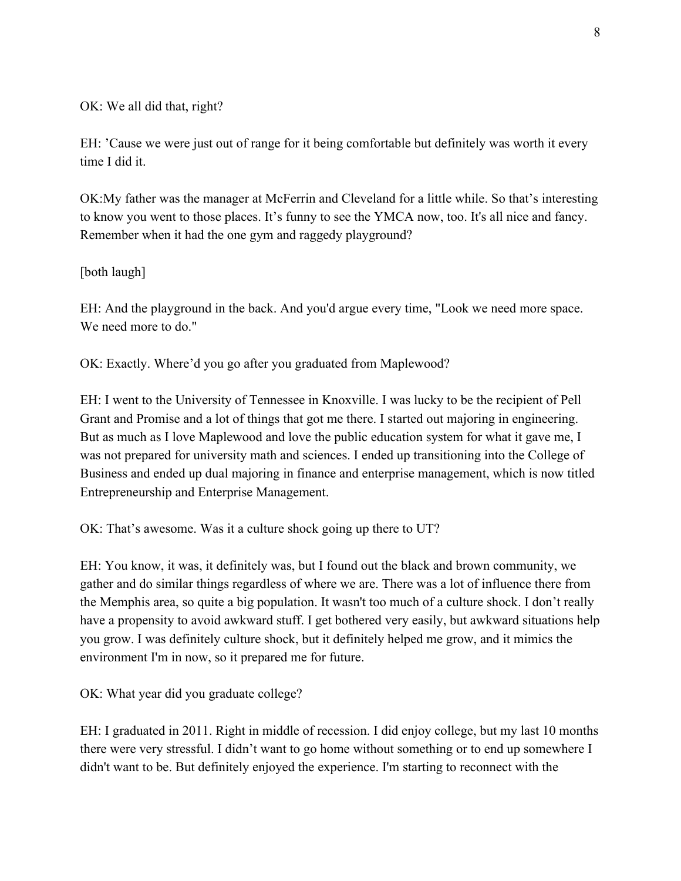OK: We all did that, right?

EH: 'Cause we were just out of range for it being comfortable but definitely was worth it every time I did it.

OK:My father was the manager at McFerrin and Cleveland for a little while. So that's interesting to know you went to those places. It's funny to see the YMCA now, too. It's all nice and fancy. Remember when it had the one gym and raggedy playground?

[both laugh]

EH: And the playground in the back. And you'd argue every time, "Look we need more space. We need more to do."

OK: Exactly. Where'd you go after you graduated from Maplewood?

EH: I went to the University of Tennessee in Knoxville. I was lucky to be the recipient of Pell Grant and Promise and a lot of things that got me there. I started out majoring in engineering. But as much as I love Maplewood and love the public education system for what it gave me, I was not prepared for university math and sciences. I ended up transitioning into the College of Business and ended up dual majoring in finance and enterprise management, which is now titled Entrepreneurship and Enterprise Management.

OK: That's awesome. Was it a culture shock going up there to UT?

EH: You know, it was, it definitely was, but I found out the black and brown community, we gather and do similar things regardless of where we are. There was a lot of influence there from the Memphis area, so quite a big population. It wasn't too much of a culture shock. I don't really have a propensity to avoid awkward stuff. I get bothered very easily, but awkward situations help you grow. I was definitely culture shock, but it definitely helped me grow, and it mimics the environment I'm in now, so it prepared me for future.

OK: What year did you graduate college?

EH: I graduated in 2011. Right in middle of recession. I did enjoy college, but my last 10 months there were very stressful. I didn't want to go home without something or to end up somewhere I didn't want to be. But definitely enjoyed the experience. I'm starting to reconnect with the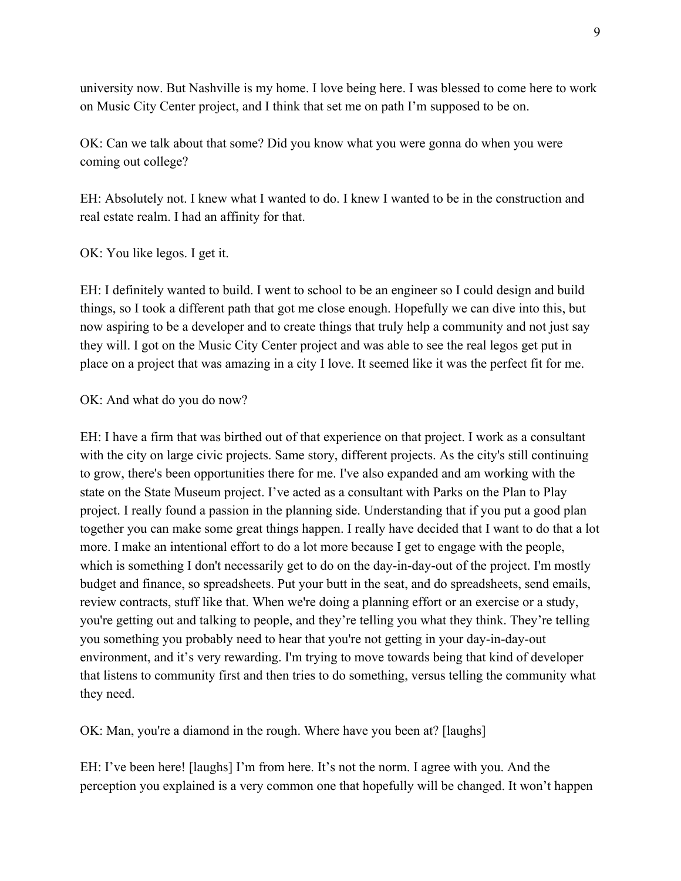university now. But Nashville is my home. I love being here. I was blessed to come here to work on Music City Center project, and I think that set me on path I'm supposed to be on.

OK: Can we talk about that some? Did you know what you were gonna do when you were coming out college?

EH: Absolutely not. I knew what I wanted to do. I knew I wanted to be in the construction and real estate realm. I had an affinity for that.

OK: You like legos. I get it.

EH: I definitely wanted to build. I went to school to be an engineer so I could design and build things, so I took a different path that got me close enough. Hopefully we can dive into this, but now aspiring to be a developer and to create things that truly help a community and not just say they will. I got on the Music City Center project and was able to see the real legos get put in place on a project that was amazing in a city I love. It seemed like it was the perfect fit for me.

OK: And what do you do now?

EH: I have a firm that was birthed out of that experience on that project. I work as a consultant with the city on large civic projects. Same story, different projects. As the city's still continuing to grow, there's been opportunities there for me. I've also expanded and am working with the state on the State Museum project. I've acted as a consultant with Parks on the Plan to Play project. I really found a passion in the planning side. Understanding that if you put a good plan together you can make some great things happen. I really have decided that I want to do that a lot more. I make an intentional effort to do a lot more because I get to engage with the people, which is something I don't necessarily get to do on the day-in-day-out of the project. I'm mostly budget and finance, so spreadsheets. Put your butt in the seat, and do spreadsheets, send emails, review contracts, stuff like that. When we're doing a planning effort or an exercise or a study, you're getting out and talking to people, and they're telling you what they think. They're telling you something you probably need to hear that you're not getting in your day-in-day-out environment, and it's very rewarding. I'm trying to move towards being that kind of developer that listens to community first and then tries to do something, versus telling the community what they need.

OK: Man, you're a diamond in the rough. Where have you been at? [laughs]

EH: I've been here! [laughs] I'm from here. It's not the norm. I agree with you. And the perception you explained is a very common one that hopefully will be changed. It won't happen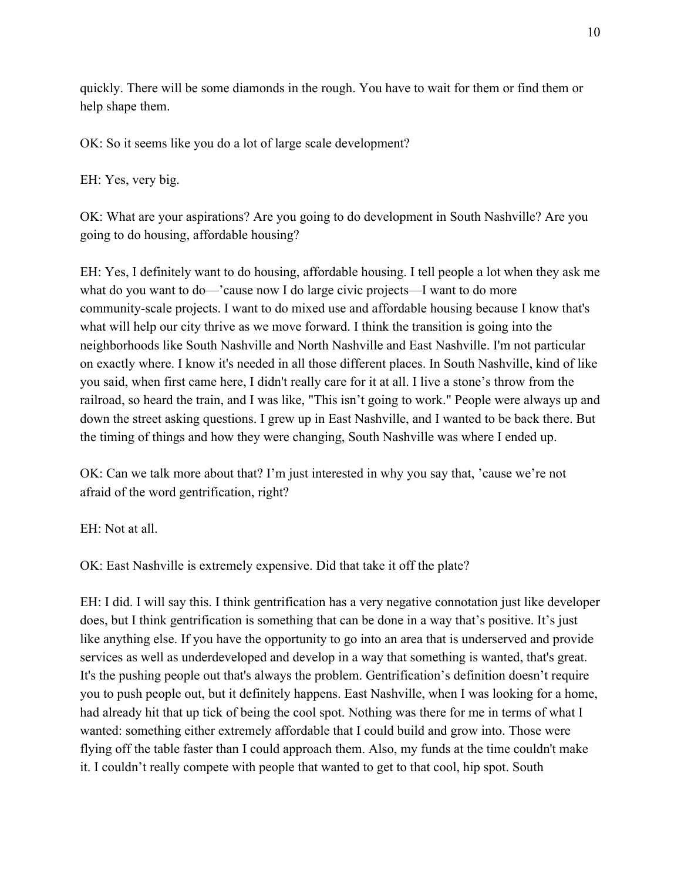quickly. There will be some diamonds in the rough. You have to wait for them or find them or help shape them.

OK: So it seems like you do a lot of large scale development?

EH: Yes, very big.

OK: What are your aspirations? Are you going to do development in South Nashville? Are you going to do housing, affordable housing?

EH: Yes, I definitely want to do housing, affordable housing. I tell people a lot when they ask me what do you want to do—'cause now I do large civic projects—I want to do more community-scale projects. I want to do mixed use and affordable housing because I know that's what will help our city thrive as we move forward. I think the transition is going into the neighborhoods like South Nashville and North Nashville and East Nashville. I'm not particular on exactly where. I know it's needed in all those different places. In South Nashville, kind of like you said, when first came here, I didn't really care for it at all. I live a stone's throw from the railroad, so heard the train, and I was like, "This isn't going to work." People were always up and down the street asking questions. I grew up in East Nashville, and I wanted to be back there. But the timing of things and how they were changing, South Nashville was where I ended up.

OK: Can we talk more about that? I'm just interested in why you say that, 'cause we're not afraid of the word gentrification, right?

 $EH: Not$  at all.

OK: East Nashville is extremely expensive. Did that take it off the plate?

EH: I did. I will say this. I think gentrification has a very negative connotation just like developer does, but I think gentrification is something that can be done in a way that's positive. It's just like anything else. If you have the opportunity to go into an area that is underserved and provide services as well as underdeveloped and develop in a way that something is wanted, that's great. It's the pushing people out that's always the problem. Gentrification's definition doesn't require you to push people out, but it definitely happens. East Nashville, when I was looking for a home, had already hit that up tick of being the cool spot. Nothing was there for me in terms of what I wanted: something either extremely affordable that I could build and grow into. Those were flying off the table faster than I could approach them. Also, my funds at the time couldn't make it. I couldn't really compete with people that wanted to get to that cool, hip spot. South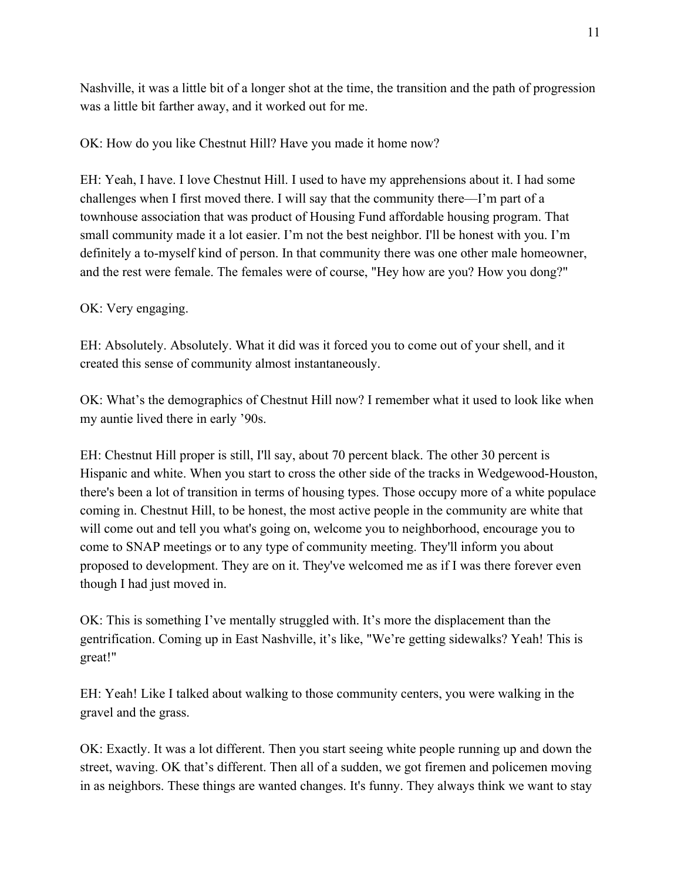Nashville, it was a little bit of a longer shot at the time, the transition and the path of progression was a little bit farther away, and it worked out for me.

OK: How do you like Chestnut Hill? Have you made it home now?

EH: Yeah, I have. I love Chestnut Hill. I used to have my apprehensions about it. I had some challenges when I first moved there. I will say that the community there––I'm part of a townhouse association that was product of Housing Fund affordable housing program. That small community made it a lot easier. I'm not the best neighbor. I'll be honest with you. I'm definitely a to-myself kind of person. In that community there was one other male homeowner, and the rest were female. The females were of course, "Hey how are you? How you dong?"

# OK: Very engaging.

EH: Absolutely. Absolutely. What it did was it forced you to come out of your shell, and it created this sense of community almost instantaneously.

OK: What's the demographics of Chestnut Hill now? I remember what it used to look like when my auntie lived there in early '90s.

EH: Chestnut Hill proper is still, I'll say, about 70 percent black. The other 30 percent is Hispanic and white. When you start to cross the other side of the tracks in Wedgewood-Houston, there's been a lot of transition in terms of housing types. Those occupy more of a white populace coming in. Chestnut Hill, to be honest, the most active people in the community are white that will come out and tell you what's going on, welcome you to neighborhood, encourage you to come to SNAP meetings or to any type of community meeting. They'll inform you about proposed to development. They are on it. They've welcomed me as if I was there forever even though I had just moved in.

OK: This is something I've mentally struggled with. It's more the displacement than the gentrification. Coming up in East Nashville, it's like, "We're getting sidewalks? Yeah! This is great!"

EH: Yeah! Like I talked about walking to those community centers, you were walking in the gravel and the grass.

OK: Exactly. It was a lot different. Then you start seeing white people running up and down the street, waving. OK that's different. Then all of a sudden, we got firemen and policemen moving in as neighbors. These things are wanted changes. It's funny. They always think we want to stay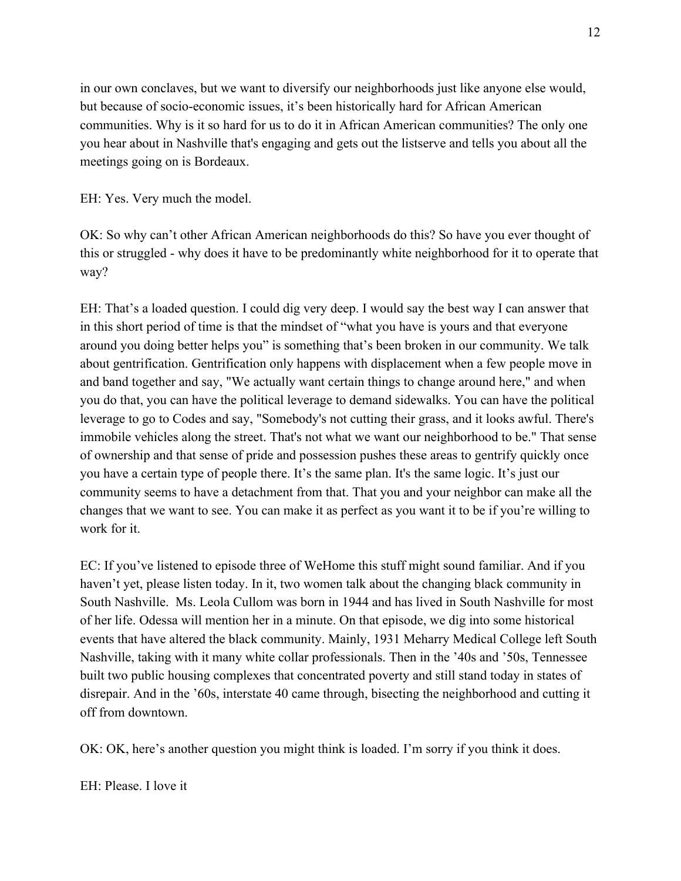in our own conclaves, but we want to diversify our neighborhoods just like anyone else would, but because of socio-economic issues, it's been historically hard for African American communities. Why is it so hard for us to do it in African American communities? The only one you hear about in Nashville that's engaging and gets out the listserve and tells you about all the meetings going on is Bordeaux.

EH: Yes. Very much the model.

OK: So why can't other African American neighborhoods do this? So have you ever thought of this or struggled - why does it have to be predominantly white neighborhood for it to operate that way?

EH: That's a loaded question. I could dig very deep. I would say the best way I can answer that in this short period of time is that the mindset of "what you have is yours and that everyone around you doing better helps you" is something that's been broken in our community. We talk about gentrification. Gentrification only happens with displacement when a few people move in and band together and say, "We actually want certain things to change around here," and when you do that, you can have the political leverage to demand sidewalks. You can have the political leverage to go to Codes and say, "Somebody's not cutting their grass, and it looks awful. There's immobile vehicles along the street. That's not what we want our neighborhood to be." That sense of ownership and that sense of pride and possession pushes these areas to gentrify quickly once you have a certain type of people there. It's the same plan. It's the same logic. It's just our community seems to have a detachment from that. That you and your neighbor can make all the changes that we want to see. You can make it as perfect as you want it to be if you're willing to work for it.

EC: If you've listened to episode three of WeHome this stuff might sound familiar. And if you haven't yet, please listen today. In it, two women talk about the changing black community in South Nashville. Ms. Leola Cullom was born in 1944 and has lived in South Nashville for most of her life. Odessa will mention her in a minute. On that episode, we dig into some historical events that have altered the black community. Mainly, 1931 Meharry Medical College left South Nashville, taking with it many white collar professionals. Then in the '40s and '50s, Tennessee built two public housing complexes that concentrated poverty and still stand today in states of disrepair. And in the '60s, interstate 40 came through, bisecting the neighborhood and cutting it off from downtown.

OK: OK, here's another question you might think is loaded. I'm sorry if you think it does.

EH: Please. I love it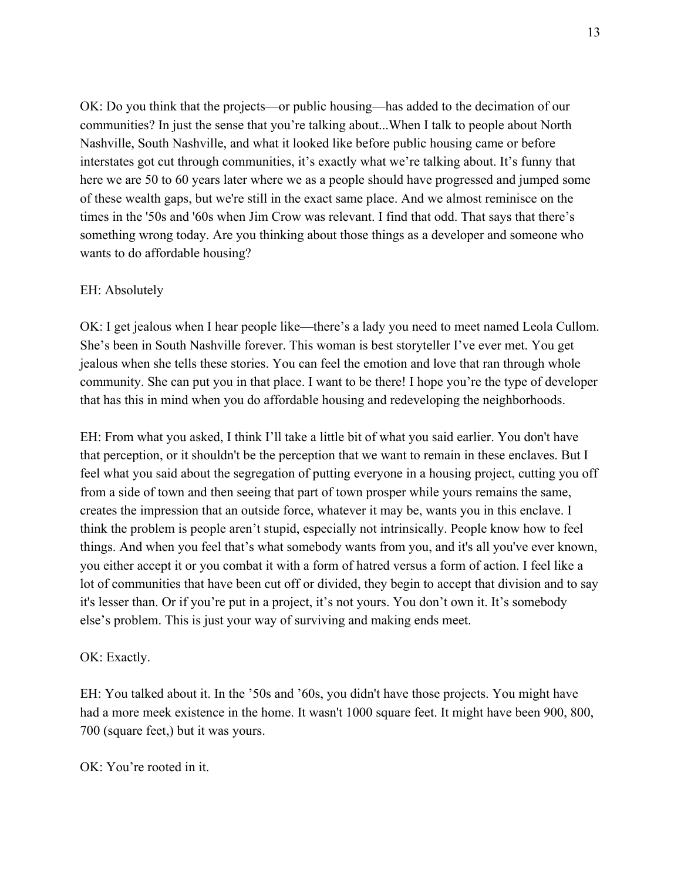OK: Do you think that the projects––or public housing––has added to the decimation of our communities? In just the sense that you're talking about...When I talk to people about North Nashville, South Nashville, and what it looked like before public housing came or before interstates got cut through communities, it's exactly what we're talking about. It's funny that here we are 50 to 60 years later where we as a people should have progressed and jumped some of these wealth gaps, but we're still in the exact same place. And we almost reminisce on the times in the '50s and '60s when Jim Crow was relevant. I find that odd. That says that there's something wrong today. Are you thinking about those things as a developer and someone who wants to do affordable housing?

## EH: Absolutely

OK: I get jealous when I hear people like––there's a lady you need to meet named Leola Cullom. She's been in South Nashville forever. This woman is best storyteller I've ever met. You get jealous when she tells these stories. You can feel the emotion and love that ran through whole community. She can put you in that place. I want to be there! I hope you're the type of developer that has this in mind when you do affordable housing and redeveloping the neighborhoods.

EH: From what you asked, I think I'll take a little bit of what you said earlier. You don't have that perception, or it shouldn't be the perception that we want to remain in these enclaves. But I feel what you said about the segregation of putting everyone in a housing project, cutting you off from a side of town and then seeing that part of town prosper while yours remains the same, creates the impression that an outside force, whatever it may be, wants you in this enclave. I think the problem is people aren't stupid, especially not intrinsically. People know how to feel things. And when you feel that's what somebody wants from you, and it's all you've ever known, you either accept it or you combat it with a form of hatred versus a form of action. I feel like a lot of communities that have been cut off or divided, they begin to accept that division and to say it's lesser than. Or if you're put in a project, it's not yours. You don't own it. It's somebody else's problem. This is just your way of surviving and making ends meet.

### OK: Exactly.

EH: You talked about it. In the '50s and '60s, you didn't have those projects. You might have had a more meek existence in the home. It wasn't 1000 square feet. It might have been 900, 800, 700 (square feet,) but it was yours.

OK: You're rooted in it.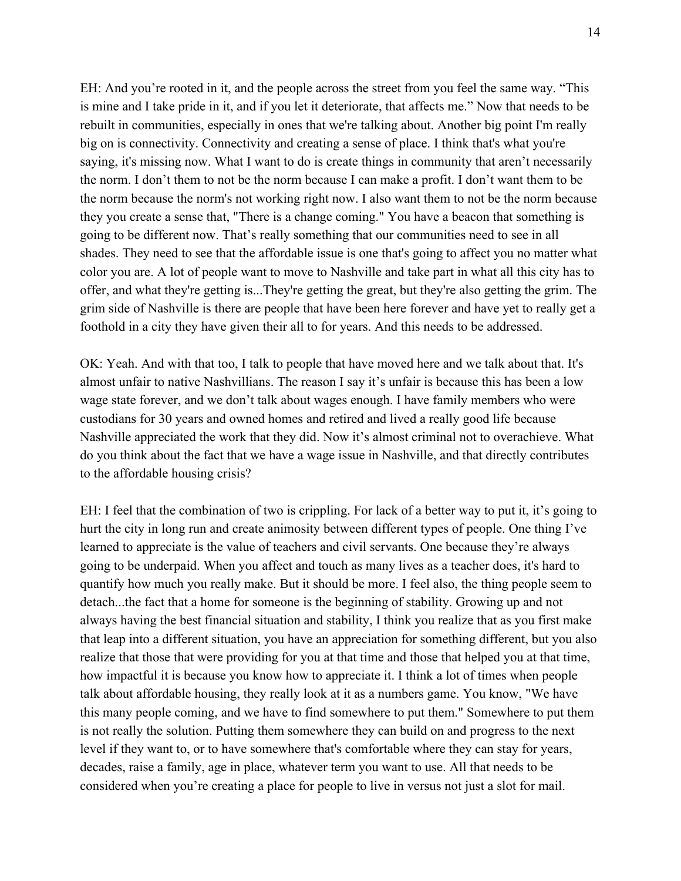EH: And you're rooted in it, and the people across the street from you feel the same way. "This is mine and I take pride in it, and if you let it deteriorate, that affects me." Now that needs to be rebuilt in communities, especially in ones that we're talking about. Another big point I'm really big on is connectivity. Connectivity and creating a sense of place. I think that's what you're saying, it's missing now. What I want to do is create things in community that aren't necessarily the norm. I don't them to not be the norm because I can make a profit. I don't want them to be the norm because the norm's not working right now. I also want them to not be the norm because they you create a sense that, "There is a change coming." You have a beacon that something is going to be different now. That's really something that our communities need to see in all shades. They need to see that the affordable issue is one that's going to affect you no matter what color you are. A lot of people want to move to Nashville and take part in what all this city has to offer, and what they're getting is...They're getting the great, but they're also getting the grim. The grim side of Nashville is there are people that have been here forever and have yet to really get a foothold in a city they have given their all to for years. And this needs to be addressed.

OK: Yeah. And with that too, I talk to people that have moved here and we talk about that. It's almost unfair to native Nashvillians. The reason I say it's unfair is because this has been a low wage state forever, and we don't talk about wages enough. I have family members who were custodians for 30 years and owned homes and retired and lived a really good life because Nashville appreciated the work that they did. Now it's almost criminal not to overachieve. What do you think about the fact that we have a wage issue in Nashville, and that directly contributes to the affordable housing crisis?

EH: I feel that the combination of two is crippling. For lack of a better way to put it, it's going to hurt the city in long run and create animosity between different types of people. One thing I've learned to appreciate is the value of teachers and civil servants. One because they're always going to be underpaid. When you affect and touch as many lives as a teacher does, it's hard to quantify how much you really make. But it should be more. I feel also, the thing people seem to detach...the fact that a home for someone is the beginning of stability. Growing up and not always having the best financial situation and stability, I think you realize that as you first make that leap into a different situation, you have an appreciation for something different, but you also realize that those that were providing for you at that time and those that helped you at that time, how impactful it is because you know how to appreciate it. I think a lot of times when people talk about affordable housing, they really look at it as a numbers game. You know, "We have this many people coming, and we have to find somewhere to put them." Somewhere to put them is not really the solution. Putting them somewhere they can build on and progress to the next level if they want to, or to have somewhere that's comfortable where they can stay for years, decades, raise a family, age in place, whatever term you want to use. All that needs to be considered when you're creating a place for people to live in versus not just a slot for mail.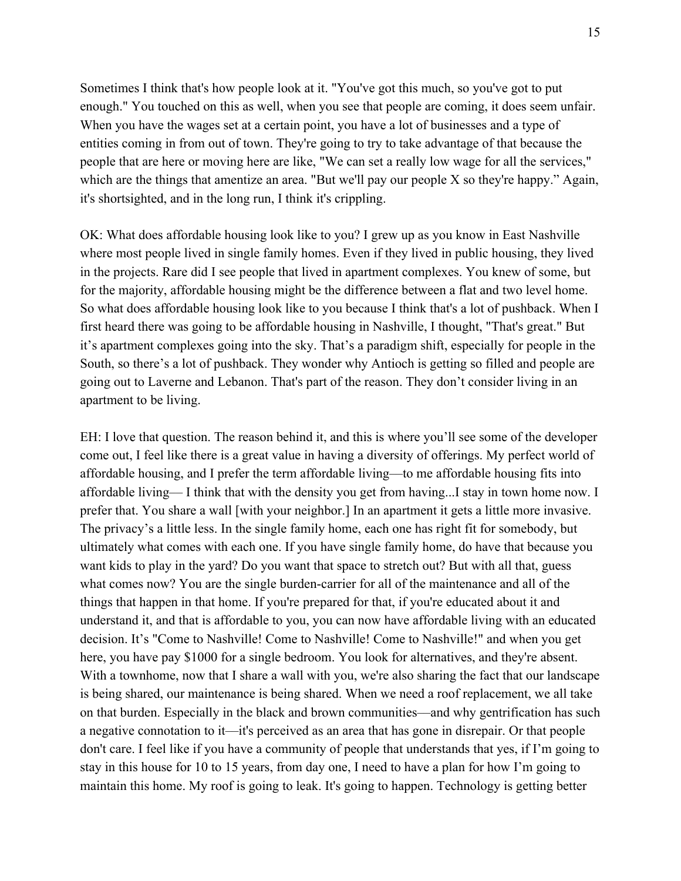Sometimes I think that's how people look at it. "You've got this much, so you've got to put enough." You touched on this as well, when you see that people are coming, it does seem unfair. When you have the wages set at a certain point, you have a lot of businesses and a type of entities coming in from out of town. They're going to try to take advantage of that because the people that are here or moving here are like, "We can set a really low wage for all the services," which are the things that amentize an area. "But we'll pay our people X so they're happy." Again, it's shortsighted, and in the long run, I think it's crippling.

OK: What does affordable housing look like to you? I grew up as you know in East Nashville where most people lived in single family homes. Even if they lived in public housing, they lived in the projects. Rare did I see people that lived in apartment complexes. You knew of some, but for the majority, affordable housing might be the difference between a flat and two level home. So what does affordable housing look like to you because I think that's a lot of pushback. When I first heard there was going to be affordable housing in Nashville, I thought, "That's great." But it's apartment complexes going into the sky. That's a paradigm shift, especially for people in the South, so there's a lot of pushback. They wonder why Antioch is getting so filled and people are going out to Laverne and Lebanon. That's part of the reason. They don't consider living in an apartment to be living.

EH: I love that question. The reason behind it, and this is where you'll see some of the developer come out, I feel like there is a great value in having a diversity of offerings. My perfect world of affordable housing, and I prefer the term affordable living––to me affordable housing fits into affordable living–– I think that with the density you get from having...I stay in town home now. I prefer that. You share a wall [with your neighbor.] In an apartment it gets a little more invasive. The privacy's a little less. In the single family home, each one has right fit for somebody, but ultimately what comes with each one. If you have single family home, do have that because you want kids to play in the yard? Do you want that space to stretch out? But with all that, guess what comes now? You are the single burden-carrier for all of the maintenance and all of the things that happen in that home. If you're prepared for that, if you're educated about it and understand it, and that is affordable to you, you can now have affordable living with an educated decision. It's "Come to Nashville! Come to Nashville! Come to Nashville!" and when you get here, you have pay \$1000 for a single bedroom. You look for alternatives, and they're absent. With a townhome, now that I share a wall with you, we're also sharing the fact that our landscape is being shared, our maintenance is being shared. When we need a roof replacement, we all take on that burden. Especially in the black and brown communities––and why gentrification has such a negative connotation to it––it's perceived as an area that has gone in disrepair. Or that people don't care. I feel like if you have a community of people that understands that yes, if I'm going to stay in this house for 10 to 15 years, from day one, I need to have a plan for how I'm going to maintain this home. My roof is going to leak. It's going to happen. Technology is getting better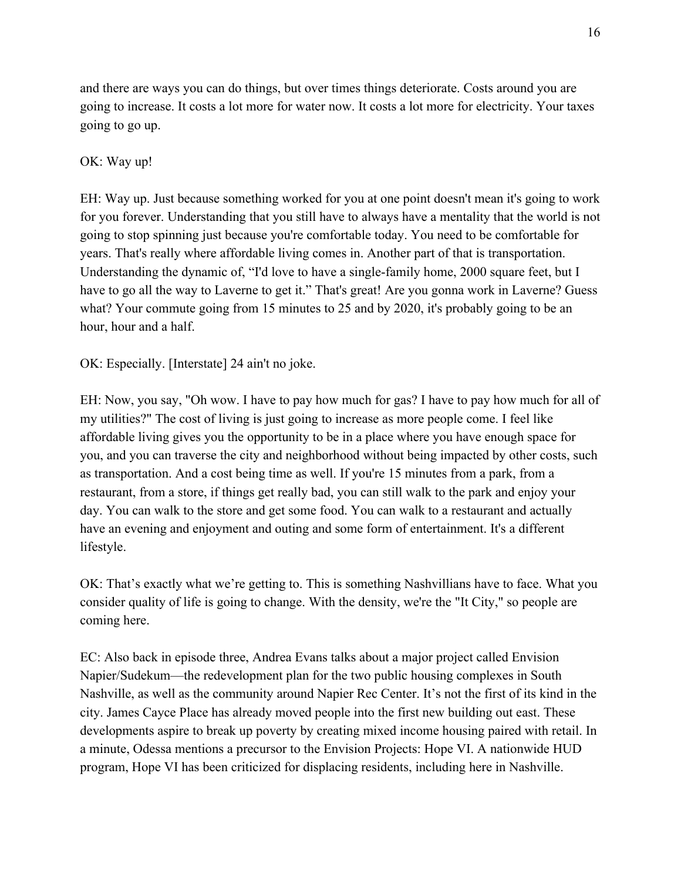and there are ways you can do things, but over times things deteriorate. Costs around you are going to increase. It costs a lot more for water now. It costs a lot more for electricity. Your taxes going to go up.

# OK: Way up!

EH: Way up. Just because something worked for you at one point doesn't mean it's going to work for you forever. Understanding that you still have to always have a mentality that the world is not going to stop spinning just because you're comfortable today. You need to be comfortable for years. That's really where affordable living comes in. Another part of that is transportation. Understanding the dynamic of, "I'd love to have a single-family home, 2000 square feet, but I have to go all the way to Laverne to get it." That's great! Are you gonna work in Laverne? Guess what? Your commute going from 15 minutes to 25 and by 2020, it's probably going to be an hour, hour and a half.

OK: Especially. [Interstate] 24 ain't no joke.

EH: Now, you say, "Oh wow. I have to pay how much for gas? I have to pay how much for all of my utilities?" The cost of living is just going to increase as more people come. I feel like affordable living gives you the opportunity to be in a place where you have enough space for you, and you can traverse the city and neighborhood without being impacted by other costs, such as transportation. And a cost being time as well. If you're 15 minutes from a park, from a restaurant, from a store, if things get really bad, you can still walk to the park and enjoy your day. You can walk to the store and get some food. You can walk to a restaurant and actually have an evening and enjoyment and outing and some form of entertainment. It's a different lifestyle.

OK: That's exactly what we're getting to. This is something Nashvillians have to face. What you consider quality of life is going to change. With the density, we're the "It City," so people are coming here.

EC: Also back in episode three, Andrea Evans talks about a major project called Envision Napier/Sudekum––the redevelopment plan for the two public housing complexes in South Nashville, as well as the community around Napier Rec Center. It's not the first of its kind in the city. James Cayce Place has already moved people into the first new building out east. These developments aspire to break up poverty by creating mixed income housing paired with retail. In a minute, Odessa mentions a precursor to the Envision Projects: Hope VI. A nationwide HUD program, Hope VI has been criticized for displacing residents, including here in Nashville.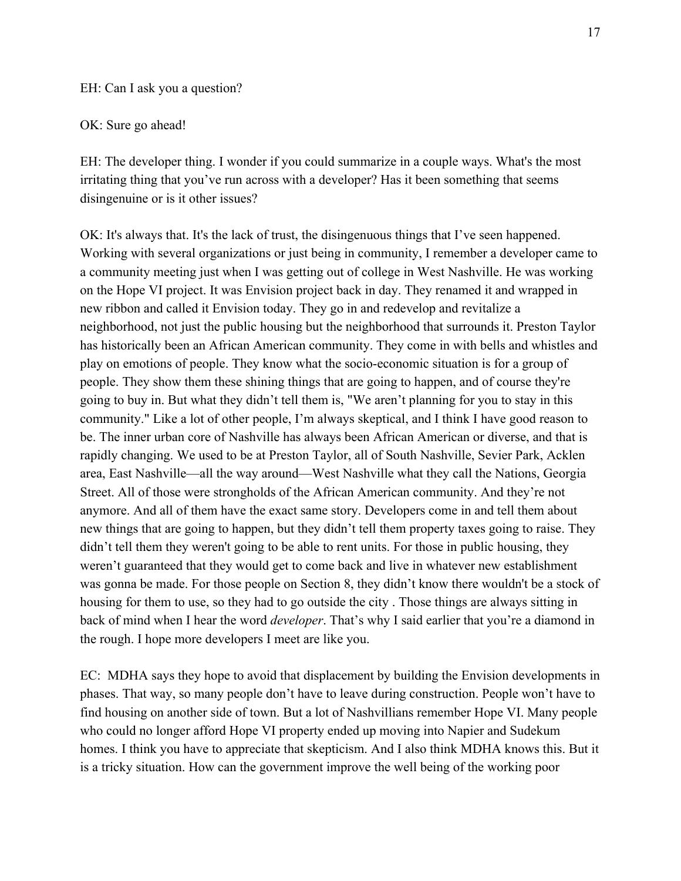#### EH: Can I ask you a question?

#### OK: Sure go ahead!

EH: The developer thing. I wonder if you could summarize in a couple ways. What's the most irritating thing that you've run across with a developer? Has it been something that seems disingenuine or is it other issues?

OK: It's always that. It's the lack of trust, the disingenuous things that I've seen happened. Working with several organizations or just being in community, I remember a developer came to a community meeting just when I was getting out of college in West Nashville. He was working on the Hope VI project. It was Envision project back in day. They renamed it and wrapped in new ribbon and called it Envision today. They go in and redevelop and revitalize a neighborhood, not just the public housing but the neighborhood that surrounds it. Preston Taylor has historically been an African American community. They come in with bells and whistles and play on emotions of people. They know what the socio-economic situation is for a group of people. They show them these shining things that are going to happen, and of course they're going to buy in. But what they didn't tell them is, "We aren't planning for you to stay in this community." Like a lot of other people, I'm always skeptical, and I think I have good reason to be. The inner urban core of Nashville has always been African American or diverse, and that is rapidly changing. We used to be at Preston Taylor, all of South Nashville, Sevier Park, Acklen area, East Nashville––all the way around––West Nashville what they call the Nations, Georgia Street. All of those were strongholds of the African American community. And they're not anymore. And all of them have the exact same story. Developers come in and tell them about new things that are going to happen, but they didn't tell them property taxes going to raise. They didn't tell them they weren't going to be able to rent units. For those in public housing, they weren't guaranteed that they would get to come back and live in whatever new establishment was gonna be made. For those people on Section 8, they didn't know there wouldn't be a stock of housing for them to use, so they had to go outside the city . Those things are always sitting in back of mind when I hear the word *developer*. That's why I said earlier that you're a diamond in the rough. I hope more developers I meet are like you.

EC: MDHA says they hope to avoid that displacement by building the Envision developments in phases. That way, so many people don't have to leave during construction. People won't have to find housing on another side of town. But a lot of Nashvillians remember Hope VI. Many people who could no longer afford Hope VI property ended up moving into Napier and Sudekum homes. I think you have to appreciate that skepticism. And I also think MDHA knows this. But it is a tricky situation. How can the government improve the well being of the working poor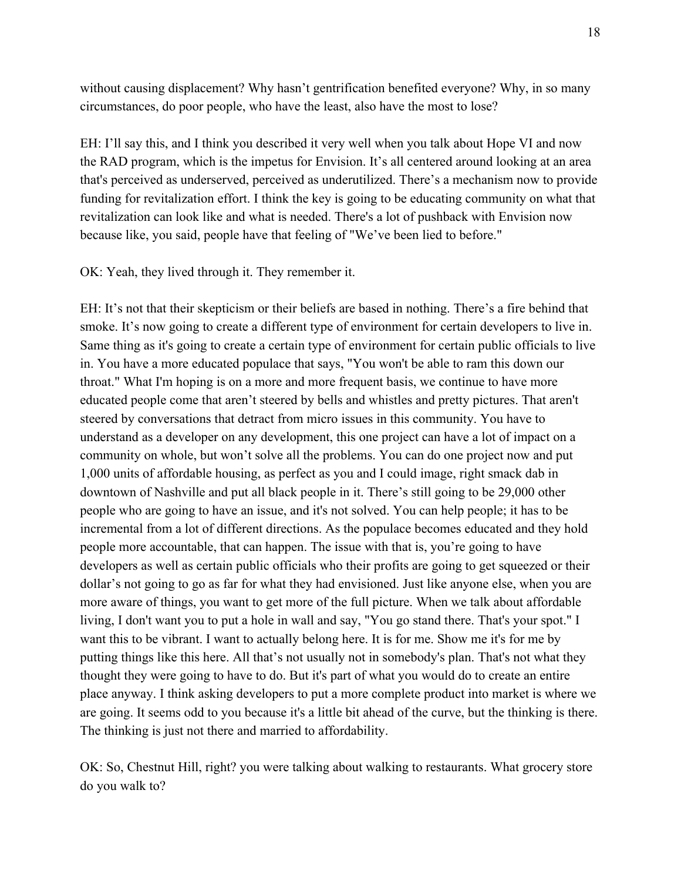without causing displacement? Why hasn't gentrification benefited everyone? Why, in so many circumstances, do poor people, who have the least, also have the most to lose?

EH: I'll say this, and I think you described it very well when you talk about Hope VI and now the RAD program, which is the impetus for Envision. It's all centered around looking at an area that's perceived as underserved, perceived as underutilized. There's a mechanism now to provide funding for revitalization effort. I think the key is going to be educating community on what that revitalization can look like and what is needed. There's a lot of pushback with Envision now because like, you said, people have that feeling of "We've been lied to before."

OK: Yeah, they lived through it. They remember it.

EH: It's not that their skepticism or their beliefs are based in nothing. There's a fire behind that smoke. It's now going to create a different type of environment for certain developers to live in. Same thing as it's going to create a certain type of environment for certain public officials to live in. You have a more educated populace that says, "You won't be able to ram this down our throat." What I'm hoping is on a more and more frequent basis, we continue to have more educated people come that aren't steered by bells and whistles and pretty pictures. That aren't steered by conversations that detract from micro issues in this community. You have to understand as a developer on any development, this one project can have a lot of impact on a community on whole, but won't solve all the problems. You can do one project now and put 1,000 units of affordable housing, as perfect as you and I could image, right smack dab in downtown of Nashville and put all black people in it. There's still going to be 29,000 other people who are going to have an issue, and it's not solved. You can help people; it has to be incremental from a lot of different directions. As the populace becomes educated and they hold people more accountable, that can happen. The issue with that is, you're going to have developers as well as certain public officials who their profits are going to get squeezed or their dollar's not going to go as far for what they had envisioned. Just like anyone else, when you are more aware of things, you want to get more of the full picture. When we talk about affordable living, I don't want you to put a hole in wall and say, "You go stand there. That's your spot." I want this to be vibrant. I want to actually belong here. It is for me. Show me it's for me by putting things like this here. All that's not usually not in somebody's plan. That's not what they thought they were going to have to do. But it's part of what you would do to create an entire place anyway. I think asking developers to put a more complete product into market is where we are going. It seems odd to you because it's a little bit ahead of the curve, but the thinking is there. The thinking is just not there and married to affordability.

OK: So, Chestnut Hill, right? you were talking about walking to restaurants. What grocery store do you walk to?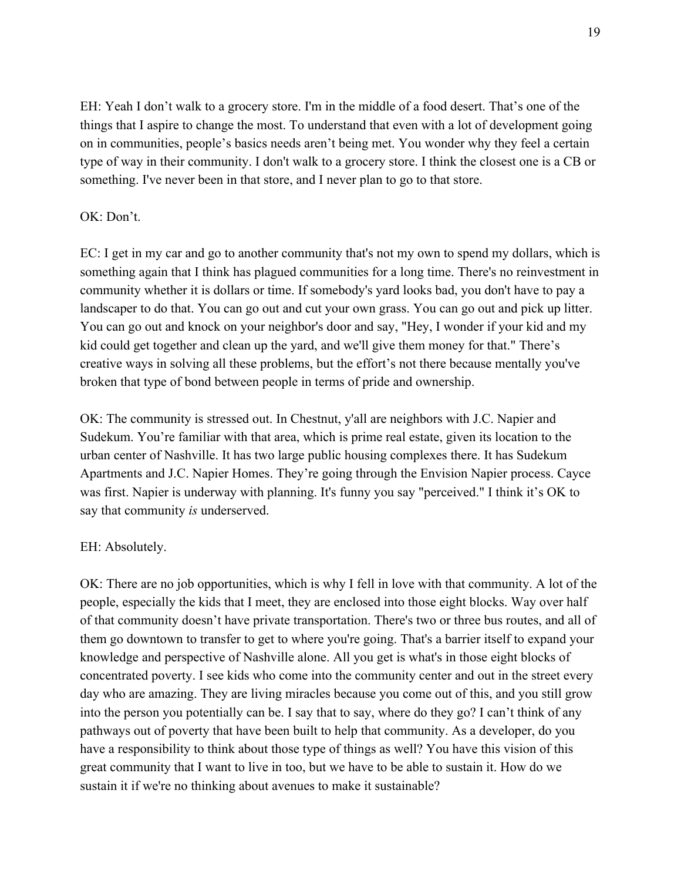EH: Yeah I don't walk to a grocery store. I'm in the middle of a food desert. That's one of the things that I aspire to change the most. To understand that even with a lot of development going on in communities, people's basics needs aren't being met. You wonder why they feel a certain type of way in their community. I don't walk to a grocery store. I think the closest one is a CB or something. I've never been in that store, and I never plan to go to that store.

## OK: Don't.

EC: I get in my car and go to another community that's not my own to spend my dollars, which is something again that I think has plagued communities for a long time. There's no reinvestment in community whether it is dollars or time. If somebody's yard looks bad, you don't have to pay a landscaper to do that. You can go out and cut your own grass. You can go out and pick up litter. You can go out and knock on your neighbor's door and say, "Hey, I wonder if your kid and my kid could get together and clean up the yard, and we'll give them money for that." There's creative ways in solving all these problems, but the effort's not there because mentally you've broken that type of bond between people in terms of pride and ownership.

OK: The community is stressed out. In Chestnut, y'all are neighbors with J.C. Napier and Sudekum. You're familiar with that area, which is prime real estate, given its location to the urban center of Nashville. It has two large public housing complexes there. It has Sudekum Apartments and J.C. Napier Homes. They're going through the Envision Napier process. Cayce was first. Napier is underway with planning. It's funny you say "perceived." I think it's OK to say that community *is* underserved.

### EH: Absolutely.

OK: There are no job opportunities, which is why I fell in love with that community. A lot of the people, especially the kids that I meet, they are enclosed into those eight blocks. Way over half of that community doesn't have private transportation. There's two or three bus routes, and all of them go downtown to transfer to get to where you're going. That's a barrier itself to expand your knowledge and perspective of Nashville alone. All you get is what's in those eight blocks of concentrated poverty. I see kids who come into the community center and out in the street every day who are amazing. They are living miracles because you come out of this, and you still grow into the person you potentially can be. I say that to say, where do they go? I can't think of any pathways out of poverty that have been built to help that community. As a developer, do you have a responsibility to think about those type of things as well? You have this vision of this great community that I want to live in too, but we have to be able to sustain it. How do we sustain it if we're no thinking about avenues to make it sustainable?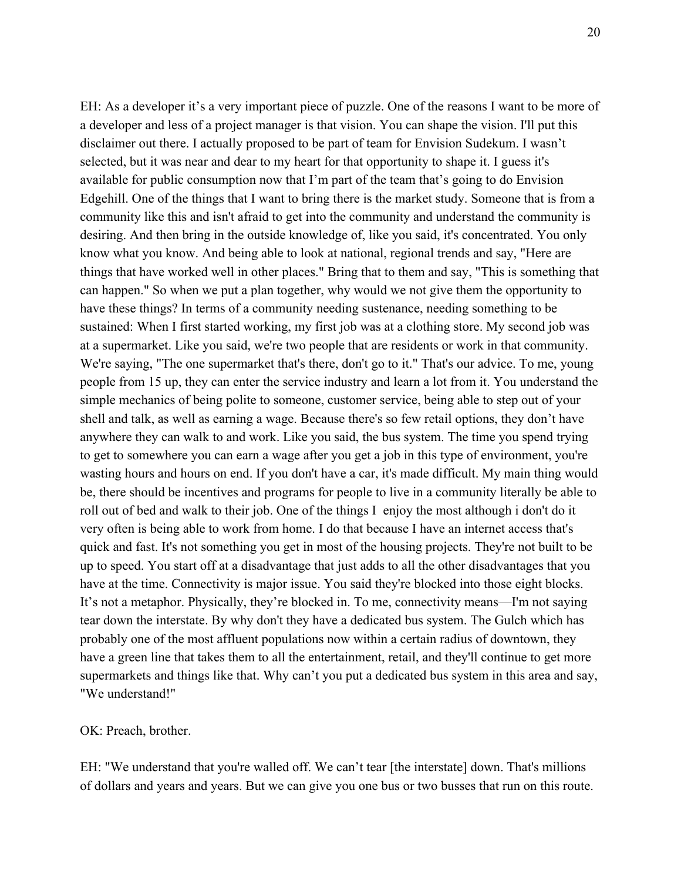EH: As a developer it's a very important piece of puzzle. One of the reasons I want to be more of a developer and less of a project manager is that vision. You can shape the vision. I'll put this disclaimer out there. I actually proposed to be part of team for Envision Sudekum. I wasn't selected, but it was near and dear to my heart for that opportunity to shape it. I guess it's available for public consumption now that I'm part of the team that's going to do Envision Edgehill. One of the things that I want to bring there is the market study. Someone that is from a community like this and isn't afraid to get into the community and understand the community is desiring. And then bring in the outside knowledge of, like you said, it's concentrated. You only know what you know. And being able to look at national, regional trends and say, "Here are things that have worked well in other places." Bring that to them and say, "This is something that can happen." So when we put a plan together, why would we not give them the opportunity to have these things? In terms of a community needing sustenance, needing something to be sustained: When I first started working, my first job was at a clothing store. My second job was at a supermarket. Like you said, we're two people that are residents or work in that community. We're saying, "The one supermarket that's there, don't go to it." That's our advice. To me, young people from 15 up, they can enter the service industry and learn a lot from it. You understand the simple mechanics of being polite to someone, customer service, being able to step out of your shell and talk, as well as earning a wage. Because there's so few retail options, they don't have anywhere they can walk to and work. Like you said, the bus system. The time you spend trying to get to somewhere you can earn a wage after you get a job in this type of environment, you're wasting hours and hours on end. If you don't have a car, it's made difficult. My main thing would be, there should be incentives and programs for people to live in a community literally be able to roll out of bed and walk to their job. One of the things I enjoy the most although i don't do it very often is being able to work from home. I do that because I have an internet access that's quick and fast. It's not something you get in most of the housing projects. They're not built to be up to speed. You start off at a disadvantage that just adds to all the other disadvantages that you have at the time. Connectivity is major issue. You said they're blocked into those eight blocks. It's not a metaphor. Physically, they're blocked in. To me, connectivity means––I'm not saying tear down the interstate. By why don't they have a dedicated bus system. The Gulch which has probably one of the most affluent populations now within a certain radius of downtown, they have a green line that takes them to all the entertainment, retail, and they'll continue to get more supermarkets and things like that. Why can't you put a dedicated bus system in this area and say, "We understand!"

#### OK: Preach, brother.

EH: "We understand that you're walled off. We can't tear [the interstate] down. That's millions of dollars and years and years. But we can give you one bus or two busses that run on this route.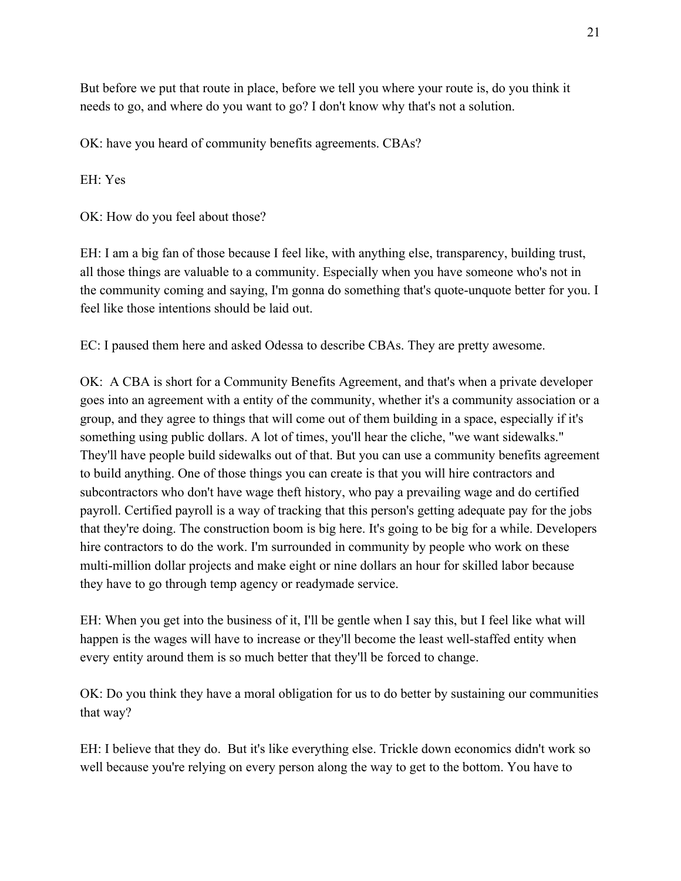But before we put that route in place, before we tell you where your route is, do you think it needs to go, and where do you want to go? I don't know why that's not a solution.

OK: have you heard of community benefits agreements. CBAs?

EH: Yes

OK: How do you feel about those?

EH: I am a big fan of those because I feel like, with anything else, transparency, building trust, all those things are valuable to a community. Especially when you have someone who's not in the community coming and saying, I'm gonna do something that's quote-unquote better for you. I feel like those intentions should be laid out.

EC: I paused them here and asked Odessa to describe CBAs. They are pretty awesome.

OK: A CBA is short for a Community Benefits Agreement, and that's when a private developer goes into an agreement with a entity of the community, whether it's a community association or a group, and they agree to things that will come out of them building in a space, especially if it's something using public dollars. A lot of times, you'll hear the cliche, "we want sidewalks." They'll have people build sidewalks out of that. But you can use a community benefits agreement to build anything. One of those things you can create is that you will hire contractors and subcontractors who don't have wage theft history, who pay a prevailing wage and do certified payroll. Certified payroll is a way of tracking that this person's getting adequate pay for the jobs that they're doing. The construction boom is big here. It's going to be big for a while. Developers hire contractors to do the work. I'm surrounded in community by people who work on these multi-million dollar projects and make eight or nine dollars an hour for skilled labor because they have to go through temp agency or readymade service.

EH: When you get into the business of it, I'll be gentle when I say this, but I feel like what will happen is the wages will have to increase or they'll become the least well-staffed entity when every entity around them is so much better that they'll be forced to change.

OK: Do you think they have a moral obligation for us to do better by sustaining our communities that way?

EH: I believe that they do. But it's like everything else. Trickle down economics didn't work so well because you're relying on every person along the way to get to the bottom. You have to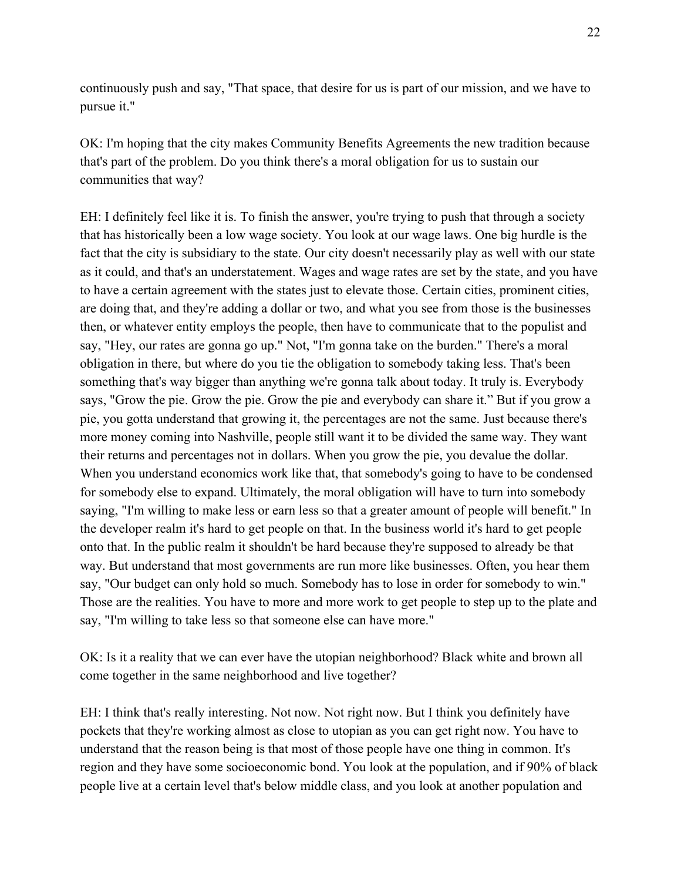continuously push and say, "That space, that desire for us is part of our mission, and we have to pursue it."

OK: I'm hoping that the city makes Community Benefits Agreements the new tradition because that's part of the problem. Do you think there's a moral obligation for us to sustain our communities that way?

EH: I definitely feel like it is. To finish the answer, you're trying to push that through a society that has historically been a low wage society. You look at our wage laws. One big hurdle is the fact that the city is subsidiary to the state. Our city doesn't necessarily play as well with our state as it could, and that's an understatement. Wages and wage rates are set by the state, and you have to have a certain agreement with the states just to elevate those. Certain cities, prominent cities, are doing that, and they're adding a dollar or two, and what you see from those is the businesses then, or whatever entity employs the people, then have to communicate that to the populist and say, "Hey, our rates are gonna go up." Not, "I'm gonna take on the burden." There's a moral obligation in there, but where do you tie the obligation to somebody taking less. That's been something that's way bigger than anything we're gonna talk about today. It truly is. Everybody says, "Grow the pie. Grow the pie. Grow the pie and everybody can share it." But if you grow a pie, you gotta understand that growing it, the percentages are not the same. Just because there's more money coming into Nashville, people still want it to be divided the same way. They want their returns and percentages not in dollars. When you grow the pie, you devalue the dollar. When you understand economics work like that, that somebody's going to have to be condensed for somebody else to expand. Ultimately, the moral obligation will have to turn into somebody saying, "I'm willing to make less or earn less so that a greater amount of people will benefit." In the developer realm it's hard to get people on that. In the business world it's hard to get people onto that. In the public realm it shouldn't be hard because they're supposed to already be that way. But understand that most governments are run more like businesses. Often, you hear them say, "Our budget can only hold so much. Somebody has to lose in order for somebody to win." Those are the realities. You have to more and more work to get people to step up to the plate and say, "I'm willing to take less so that someone else can have more."

OK: Is it a reality that we can ever have the utopian neighborhood? Black white and brown all come together in the same neighborhood and live together?

EH: I think that's really interesting. Not now. Not right now. But I think you definitely have pockets that they're working almost as close to utopian as you can get right now. You have to understand that the reason being is that most of those people have one thing in common. It's region and they have some socioeconomic bond. You look at the population, and if 90% of black people live at a certain level that's below middle class, and you look at another population and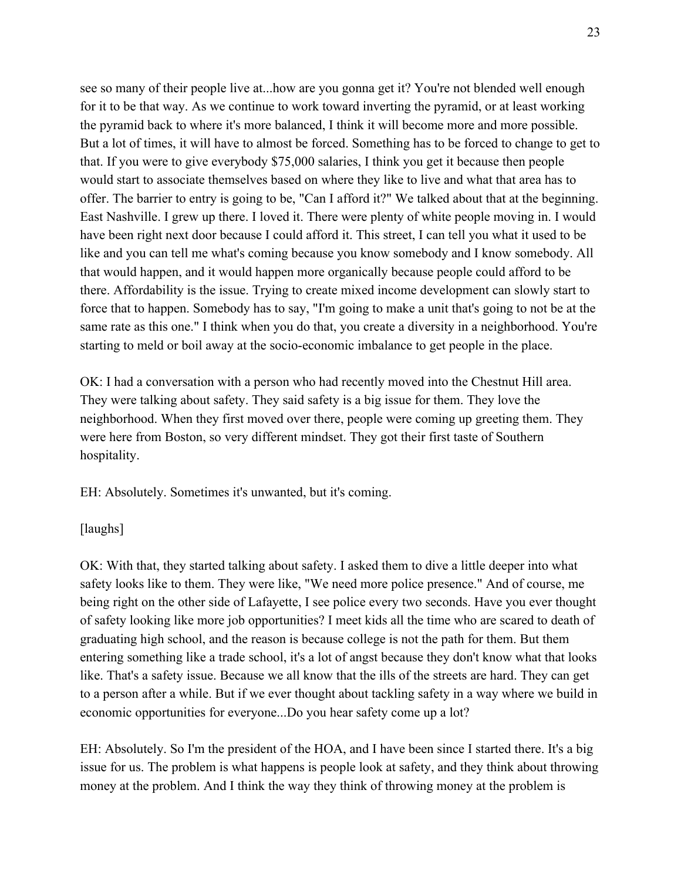see so many of their people live at...how are you gonna get it? You're not blended well enough for it to be that way. As we continue to work toward inverting the pyramid, or at least working the pyramid back to where it's more balanced, I think it will become more and more possible. But a lot of times, it will have to almost be forced. Something has to be forced to change to get to that. If you were to give everybody \$75,000 salaries, I think you get it because then people would start to associate themselves based on where they like to live and what that area has to offer. The barrier to entry is going to be, "Can I afford it?" We talked about that at the beginning. East Nashville. I grew up there. I loved it. There were plenty of white people moving in. I would have been right next door because I could afford it. This street, I can tell you what it used to be like and you can tell me what's coming because you know somebody and I know somebody. All that would happen, and it would happen more organically because people could afford to be there. Affordability is the issue. Trying to create mixed income development can slowly start to force that to happen. Somebody has to say, "I'm going to make a unit that's going to not be at the same rate as this one." I think when you do that, you create a diversity in a neighborhood. You're starting to meld or boil away at the socio-economic imbalance to get people in the place.

OK: I had a conversation with a person who had recently moved into the Chestnut Hill area. They were talking about safety. They said safety is a big issue for them. They love the neighborhood. When they first moved over there, people were coming up greeting them. They were here from Boston, so very different mindset. They got their first taste of Southern hospitality.

EH: Absolutely. Sometimes it's unwanted, but it's coming.

# [laughs]

OK: With that, they started talking about safety. I asked them to dive a little deeper into what safety looks like to them. They were like, "We need more police presence." And of course, me being right on the other side of Lafayette, I see police every two seconds. Have you ever thought of safety looking like more job opportunities? I meet kids all the time who are scared to death of graduating high school, and the reason is because college is not the path for them. But them entering something like a trade school, it's a lot of angst because they don't know what that looks like. That's a safety issue. Because we all know that the ills of the streets are hard. They can get to a person after a while. But if we ever thought about tackling safety in a way where we build in economic opportunities for everyone...Do you hear safety come up a lot?

EH: Absolutely. So I'm the president of the HOA, and I have been since I started there. It's a big issue for us. The problem is what happens is people look at safety, and they think about throwing money at the problem. And I think the way they think of throwing money at the problem is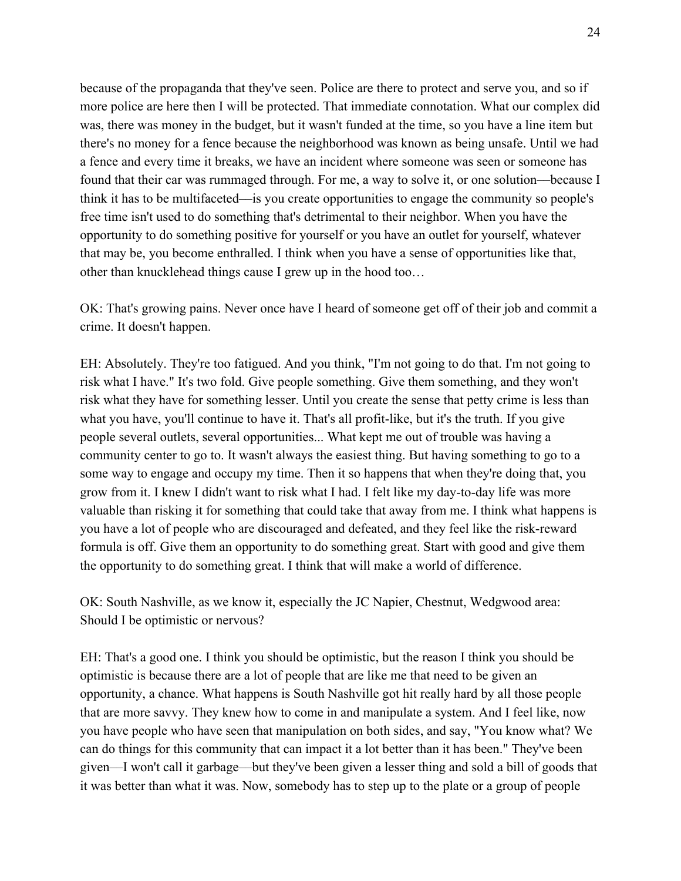because of the propaganda that they've seen. Police are there to protect and serve you, and so if more police are here then I will be protected. That immediate connotation. What our complex did was, there was money in the budget, but it wasn't funded at the time, so you have a line item but there's no money for a fence because the neighborhood was known as being unsafe. Until we had a fence and every time it breaks, we have an incident where someone was seen or someone has found that their car was rummaged through. For me, a way to solve it, or one solution––because I think it has to be multifaceted––is you create opportunities to engage the community so people's free time isn't used to do something that's detrimental to their neighbor. When you have the opportunity to do something positive for yourself or you have an outlet for yourself, whatever that may be, you become enthralled. I think when you have a sense of opportunities like that, other than knucklehead things cause I grew up in the hood too…

OK: That's growing pains. Never once have I heard of someone get off of their job and commit a crime. It doesn't happen.

EH: Absolutely. They're too fatigued. And you think, "I'm not going to do that. I'm not going to risk what I have." It's two fold. Give people something. Give them something, and they won't risk what they have for something lesser. Until you create the sense that petty crime is less than what you have, you'll continue to have it. That's all profit-like, but it's the truth. If you give people several outlets, several opportunities... What kept me out of trouble was having a community center to go to. It wasn't always the easiest thing. But having something to go to a some way to engage and occupy my time. Then it so happens that when they're doing that, you grow from it. I knew I didn't want to risk what I had. I felt like my day-to-day life was more valuable than risking it for something that could take that away from me. I think what happens is you have a lot of people who are discouraged and defeated, and they feel like the risk-reward formula is off. Give them an opportunity to do something great. Start with good and give them the opportunity to do something great. I think that will make a world of difference.

OK: South Nashville, as we know it, especially the JC Napier, Chestnut, Wedgwood area: Should I be optimistic or nervous?

EH: That's a good one. I think you should be optimistic, but the reason I think you should be optimistic is because there are a lot of people that are like me that need to be given an opportunity, a chance. What happens is South Nashville got hit really hard by all those people that are more savvy. They knew how to come in and manipulate a system. And I feel like, now you have people who have seen that manipulation on both sides, and say, "You know what? We can do things for this community that can impact it a lot better than it has been." They've been given––I won't call it garbage––but they've been given a lesser thing and sold a bill of goods that it was better than what it was. Now, somebody has to step up to the plate or a group of people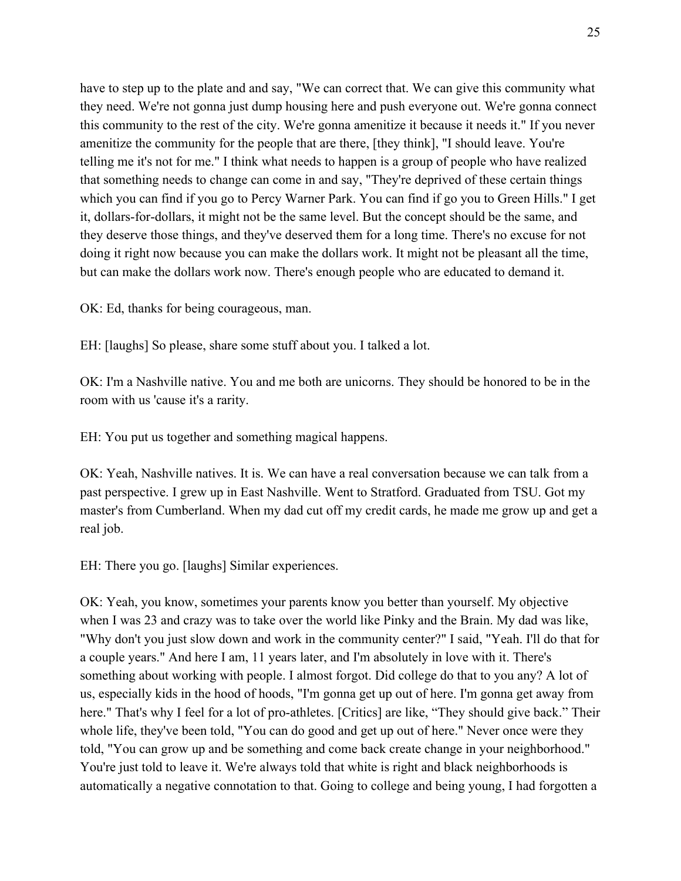have to step up to the plate and and say, "We can correct that. We can give this community what they need. We're not gonna just dump housing here and push everyone out. We're gonna connect this community to the rest of the city. We're gonna amenitize it because it needs it." If you never amenitize the community for the people that are there, [they think], "I should leave. You're telling me it's not for me." I think what needs to happen is a group of people who have realized that something needs to change can come in and say, "They're deprived of these certain things which you can find if you go to Percy Warner Park. You can find if go you to Green Hills." I get it, dollars-for-dollars, it might not be the same level. But the concept should be the same, and they deserve those things, and they've deserved them for a long time. There's no excuse for not doing it right now because you can make the dollars work. It might not be pleasant all the time, but can make the dollars work now. There's enough people who are educated to demand it.

OK: Ed, thanks for being courageous, man.

EH: [laughs] So please, share some stuff about you. I talked a lot.

OK: I'm a Nashville native. You and me both are unicorns. They should be honored to be in the room with us 'cause it's a rarity.

EH: You put us together and something magical happens.

OK: Yeah, Nashville natives. It is. We can have a real conversation because we can talk from a past perspective. I grew up in East Nashville. Went to Stratford. Graduated from TSU. Got my master's from Cumberland. When my dad cut off my credit cards, he made me grow up and get a real job.

EH: There you go. [laughs] Similar experiences.

OK: Yeah, you know, sometimes your parents know you better than yourself. My objective when I was 23 and crazy was to take over the world like Pinky and the Brain. My dad was like, "Why don't you just slow down and work in the community center?" I said, "Yeah. I'll do that for a couple years." And here I am, 11 years later, and I'm absolutely in love with it. There's something about working with people. I almost forgot. Did college do that to you any? A lot of us, especially kids in the hood of hoods, "I'm gonna get up out of here. I'm gonna get away from here." That's why I feel for a lot of pro-athletes. [Critics] are like, "They should give back." Their whole life, they've been told, "You can do good and get up out of here." Never once were they told, "You can grow up and be something and come back create change in your neighborhood." You're just told to leave it. We're always told that white is right and black neighborhoods is automatically a negative connotation to that. Going to college and being young, I had forgotten a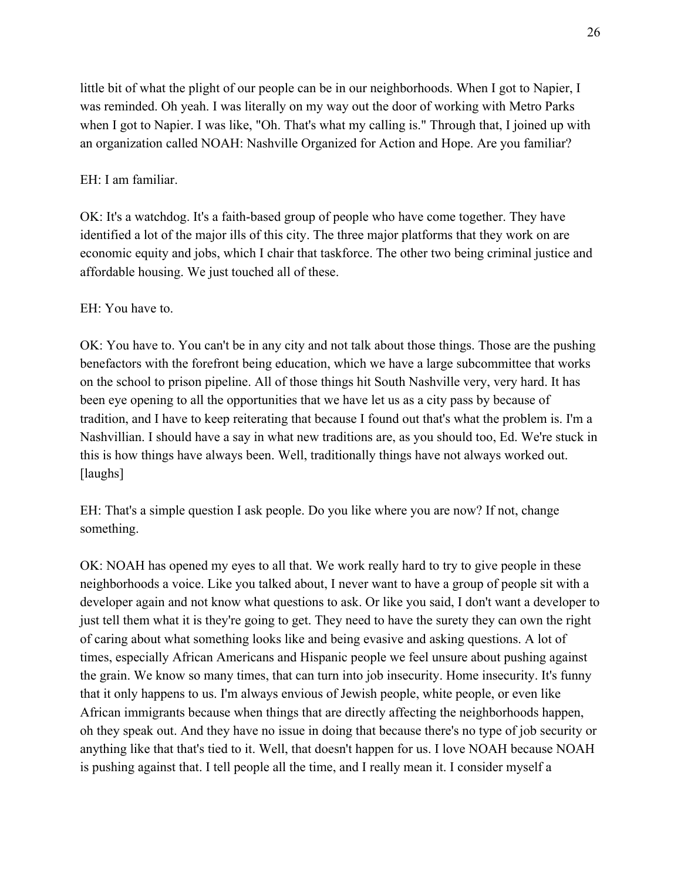little bit of what the plight of our people can be in our neighborhoods. When I got to Napier, I was reminded. Oh yeah. I was literally on my way out the door of working with Metro Parks when I got to Napier. I was like, "Oh. That's what my calling is." Through that, I joined up with an organization called NOAH: Nashville Organized for Action and Hope. Are you familiar?

## EH: I am familiar.

OK: It's a watchdog. It's a faith-based group of people who have come together. They have identified a lot of the major ills of this city. The three major platforms that they work on are economic equity and jobs, which I chair that taskforce. The other two being criminal justice and affordable housing. We just touched all of these.

### EH: You have to.

OK: You have to. You can't be in any city and not talk about those things. Those are the pushing benefactors with the forefront being education, which we have a large subcommittee that works on the school to prison pipeline. All of those things hit South Nashville very, very hard. It has been eye opening to all the opportunities that we have let us as a city pass by because of tradition, and I have to keep reiterating that because I found out that's what the problem is. I'm a Nashvillian. I should have a say in what new traditions are, as you should too, Ed. We're stuck in this is how things have always been. Well, traditionally things have not always worked out. [laughs]

EH: That's a simple question I ask people. Do you like where you are now? If not, change something.

OK: NOAH has opened my eyes to all that. We work really hard to try to give people in these neighborhoods a voice. Like you talked about, I never want to have a group of people sit with a developer again and not know what questions to ask. Or like you said, I don't want a developer to just tell them what it is they're going to get. They need to have the surety they can own the right of caring about what something looks like and being evasive and asking questions. A lot of times, especially African Americans and Hispanic people we feel unsure about pushing against the grain. We know so many times, that can turn into job insecurity. Home insecurity. It's funny that it only happens to us. I'm always envious of Jewish people, white people, or even like African immigrants because when things that are directly affecting the neighborhoods happen, oh they speak out. And they have no issue in doing that because there's no type of job security or anything like that that's tied to it. Well, that doesn't happen for us. I love NOAH because NOAH is pushing against that. I tell people all the time, and I really mean it. I consider myself a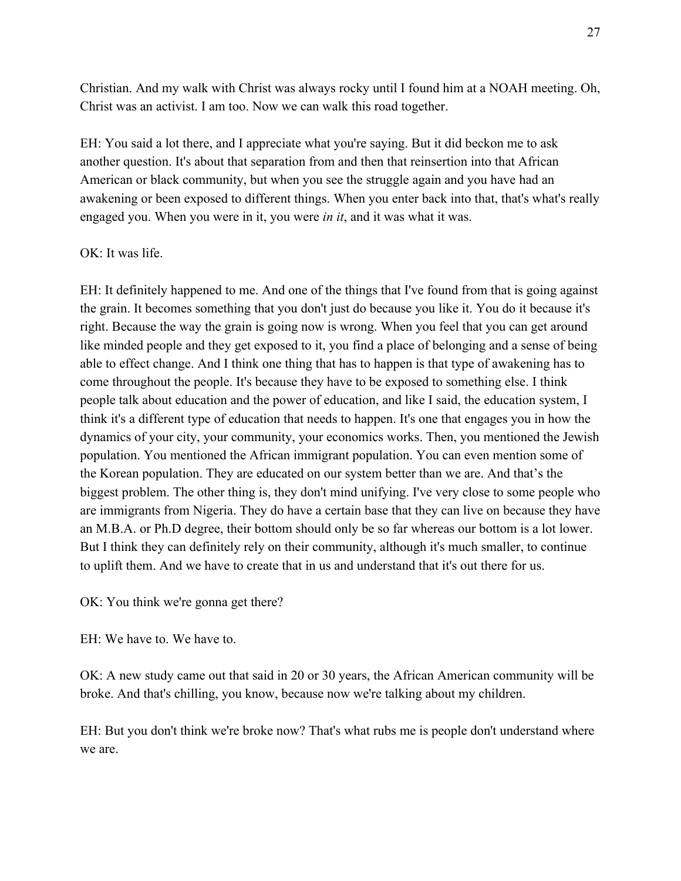Christian. And my walk with Christ was always rocky until I found him at a NOAH meeting. Oh, Christ was an activist. I am too. Now we can walk this road together.

EH: You said a lot there, and I appreciate what you're saying. But it did beckon me to ask another question. It's about that separation from and then that reinsertion into that African American or black community, but when you see the struggle again and you have had an awakening or been exposed to different things. When you enter back into that, that's what's really engaged you. When you were in it, you were *in it*, and it was what it was.

### OK: It was life.

EH: It definitely happened to me. And one of the things that I've found from that is going against the grain. It becomes something that you don't just do because you like it. You do it because it's right. Because the way the grain is going now is wrong. When you feel that you can get around like minded people and they get exposed to it, you find a place of belonging and a sense of being able to effect change. And I think one thing that has to happen is that type of awakening has to come throughout the people. It's because they have to be exposed to something else. I think people talk about education and the power of education, and like I said, the education system, I think it's a different type of education that needs to happen. It's one that engages you in how the dynamics of your city, your community, your economics works. Then, you mentioned the Jewish population. You mentioned the African immigrant population. You can even mention some of the Korean population. They are educated on our system better than we are. And that's the biggest problem. The other thing is, they don't mind unifying. I've very close to some people who are immigrants from Nigeria. They do have a certain base that they can live on because they have an M.B.A. or Ph.D degree, their bottom should only be so far whereas our bottom is a lot lower. But I think they can definitely rely on their community, although it's much smaller, to continue to uplift them. And we have to create that in us and understand that it's out there for us.

OK: You think we're gonna get there?

EH: We have to. We have to.

OK: A new study came out that said in 20 or 30 years, the African American community will be broke. And that's chilling, you know, because now we're talking about my children.

EH: But you don't think we're broke now? That's what rubs me is people don't understand where we are.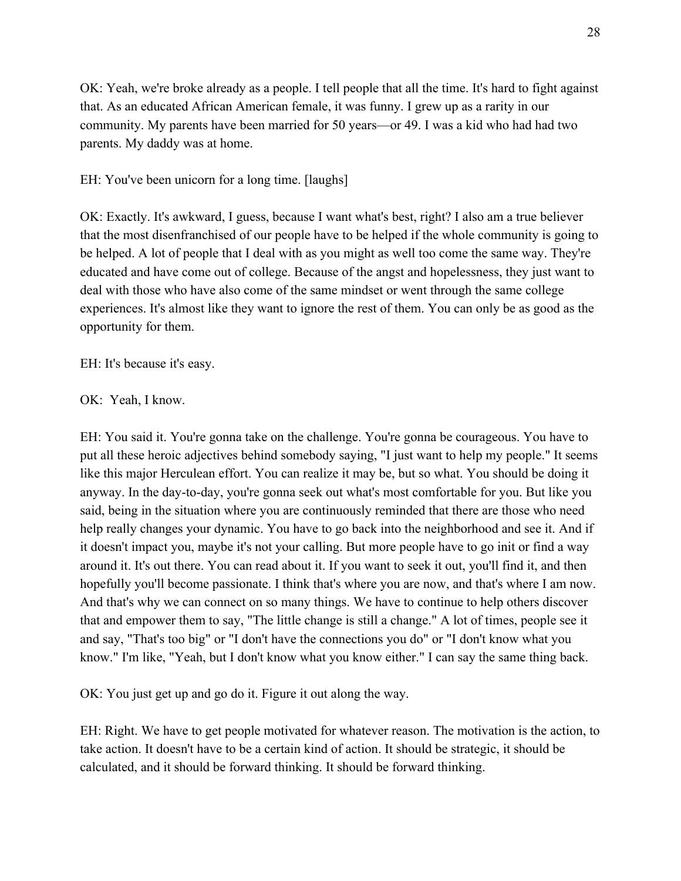OK: Yeah, we're broke already as a people. I tell people that all the time. It's hard to fight against that. As an educated African American female, it was funny. I grew up as a rarity in our community. My parents have been married for 50 years––or 49. I was a kid who had had two parents. My daddy was at home.

EH: You've been unicorn for a long time. [laughs]

OK: Exactly. It's awkward, I guess, because I want what's best, right? I also am a true believer that the most disenfranchised of our people have to be helped if the whole community is going to be helped. A lot of people that I deal with as you might as well too come the same way. They're educated and have come out of college. Because of the angst and hopelessness, they just want to deal with those who have also come of the same mindset or went through the same college experiences. It's almost like they want to ignore the rest of them. You can only be as good as the opportunity for them.

EH: It's because it's easy.

#### OK: Yeah, I know.

EH: You said it. You're gonna take on the challenge. You're gonna be courageous. You have to put all these heroic adjectives behind somebody saying, "I just want to help my people." It seems like this major Herculean effort. You can realize it may be, but so what. You should be doing it anyway. In the day-to-day, you're gonna seek out what's most comfortable for you. But like you said, being in the situation where you are continuously reminded that there are those who need help really changes your dynamic. You have to go back into the neighborhood and see it. And if it doesn't impact you, maybe it's not your calling. But more people have to go init or find a way around it. It's out there. You can read about it. If you want to seek it out, you'll find it, and then hopefully you'll become passionate. I think that's where you are now, and that's where I am now. And that's why we can connect on so many things. We have to continue to help others discover that and empower them to say, "The little change is still a change." A lot of times, people see it and say, "That's too big" or "I don't have the connections you do" or "I don't know what you know." I'm like, "Yeah, but I don't know what you know either." I can say the same thing back.

OK: You just get up and go do it. Figure it out along the way.

EH: Right. We have to get people motivated for whatever reason. The motivation is the action, to take action. It doesn't have to be a certain kind of action. It should be strategic, it should be calculated, and it should be forward thinking. It should be forward thinking.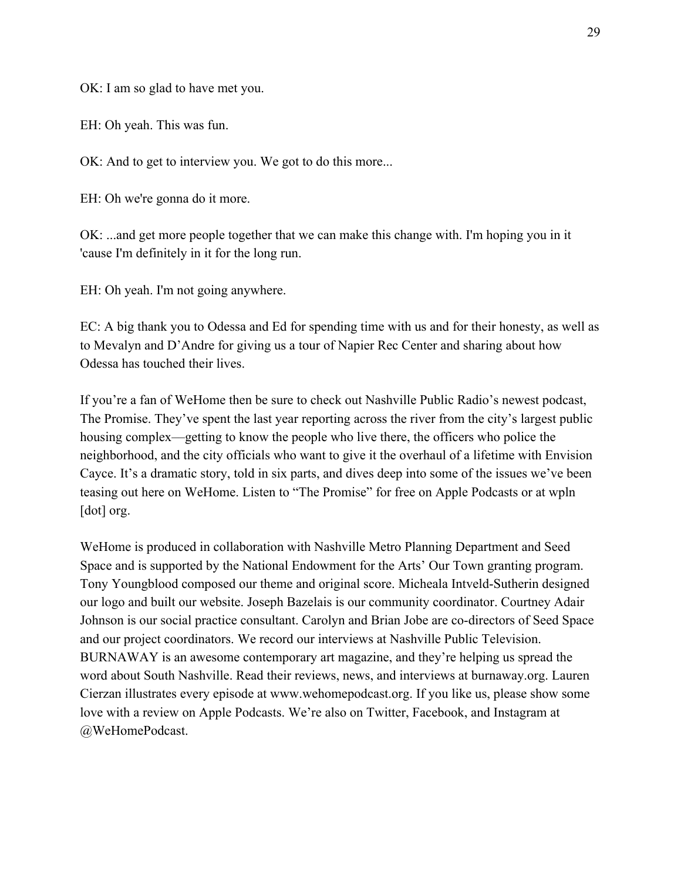OK: I am so glad to have met you.

EH: Oh yeah. This was fun.

OK: And to get to interview you. We got to do this more...

EH: Oh we're gonna do it more.

OK: ...and get more people together that we can make this change with. I'm hoping you in it 'cause I'm definitely in it for the long run.

EH: Oh yeah. I'm not going anywhere.

EC: A big thank you to Odessa and Ed for spending time with us and for their honesty, as well as to Mevalyn and D'Andre for giving us a tour of Napier Rec Center and sharing about how Odessa has touched their lives.

If you're a fan of WeHome then be sure to check out Nashville Public Radio's newest podcast, The Promise. They've spent the last year reporting across the river from the city's largest public housing complex––getting to know the people who live there, the officers who police the neighborhood, and the city officials who want to give it the overhaul of a lifetime with Envision Cayce. It's a dramatic story, told in six parts, and dives deep into some of the issues we've been teasing out here on WeHome. Listen to "The Promise" for free on Apple Podcasts or at wpln [dot] org.

WeHome is produced in collaboration with Nashville Metro Planning Department and Seed Space and is supported by the National Endowment for the Arts' Our Town granting program. Tony Youngblood composed our theme and original score. Micheala Intveld-Sutherin designed our logo and built our website. Joseph Bazelais is our community coordinator. Courtney Adair Johnson is our social practice consultant. Carolyn and Brian Jobe are co-directors of Seed Space and our project coordinators. We record our interviews at Nashville Public Television. BURNAWAY is an awesome contemporary art magazine, and they're helping us spread the word about South Nashville. Read their reviews, news, and interviews at burnaway.org. Lauren Cierzan illustrates every episode at www.wehomepodcast.org. If you like us, please show some love with a review on Apple Podcasts. We're also on Twitter, Facebook, and Instagram at @WeHomePodcast.